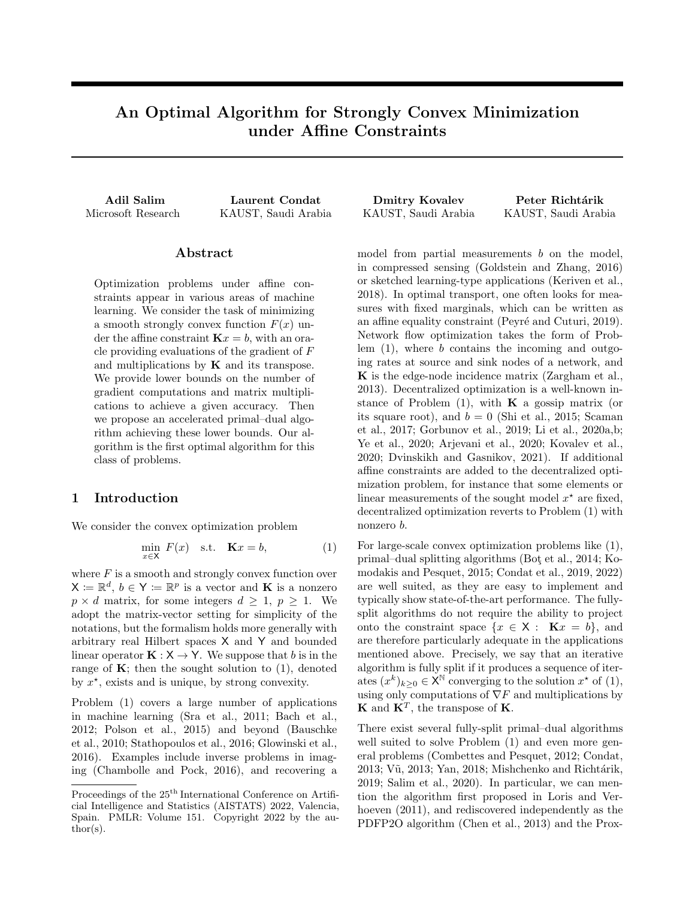# An Optimal Algorithm for Strongly Convex Minimization under Affine Constraints

# Abstract

Optimization problems under affine constraints appear in various areas of machine learning. We consider the task of minimizing a smooth strongly convex function  $F(x)$  under the affine constraint  $\mathbf{K}x = b$ , with an oracle providing evaluations of the gradient of F and multiplications by  $\bf{K}$  and its transpose. We provide lower bounds on the number of gradient computations and matrix multiplications to achieve a given accuracy. Then we propose an accelerated primal–dual algorithm achieving these lower bounds. Our algorithm is the first optimal algorithm for this class of problems.

# 1 Introduction

We consider the convex optimization problem

$$
\min_{x \in \mathsf{X}} F(x) \quad \text{s.t.} \quad \mathbf{K}x = b,\tag{1}
$$

where  $F$  is a smooth and strongly convex function over  $\mathsf{X} := \mathbb{R}^d$ ,  $b \in \mathsf{Y} := \mathbb{R}^p$  is a vector and **K** is a nonzero  $p \times d$  matrix, for some integers  $d \geq 1$ ,  $p \geq 1$ . We adopt the matrix-vector setting for simplicity of the notations, but the formalism holds more generally with arbitrary real Hilbert spaces X and Y and bounded linear operator  $\mathbf{K} : \mathsf{X} \to \mathsf{Y}$ . We suppose that b is in the range of  $K$ ; then the sought solution to  $(1)$ , denoted by  $x^*$ , exists and is unique, by strong convexity.

Problem (1) covers a large number of applications in machine learning (Sra et al., 2011; Bach et al., 2012; Polson et al., 2015) and beyond (Bauschke et al., 2010; Stathopoulos et al., 2016; Glowinski et al., 2016). Examples include inverse problems in imaging (Chambolle and Pock, 2016), and recovering a

Adil Salim Laurent Condat Dmitry Kovalev Peter Richtárik Microsoft Research KAUST, Saudi Arabia KAUST, Saudi Arabia KAUST, Saudi Arabia

model from partial measurements  $b$  on the model, in compressed sensing (Goldstein and Zhang, 2016) or sketched learning-type applications (Keriven et al., 2018). In optimal transport, one often looks for measures with fixed marginals, which can be written as an affine equality constraint (Peyré and Cuturi, 2019). Network flow optimization takes the form of Problem  $(1)$ , where b contains the incoming and outgoing rates at source and sink nodes of a network, and K is the edge-node incidence matrix (Zargham et al., 2013). Decentralized optimization is a well-known instance of Problem  $(1)$ , with **K** a gossip matrix (or its square root), and  $b = 0$  (Shi et al., 2015; Scaman et al., 2017; Gorbunov et al., 2019; Li et al., 2020a,b; Ye et al., 2020; Arjevani et al., 2020; Kovalev et al., 2020; Dvinskikh and Gasnikov, 2021). If additional affine constraints are added to the decentralized optimization problem, for instance that some elements or linear measurements of the sought model  $x^*$  are fixed, decentralized optimization reverts to Problem (1) with nonzero b.

For large-scale convex optimization problems like (1), primal–dual splitting algorithms (Bot¸ et al., 2014; Komodakis and Pesquet, 2015; Condat et al., 2019, 2022) are well suited, as they are easy to implement and typically show state-of-the-art performance. The fullysplit algorithms do not require the ability to project onto the constraint space  $\{x \in \mathsf{X} : \mathbf{K}x = b\}$ , and are therefore particularly adequate in the applications mentioned above. Precisely, we say that an iterative algorithm is fully split if it produces a sequence of iterates  $(x^k)_{k\geq 0} \in \mathsf{X}^{\mathbb{N}}$  converging to the solution  $x^*$  of (1), using only computations of  $\nabla F$  and multiplications by **K** and  $\mathbf{K}^T$ , the transpose of **K**.

There exist several fully-split primal–dual algorithms well suited to solve Problem (1) and even more general problems (Combettes and Pesquet, 2012; Condat,  $2013$ ; Vũ,  $2013$ ; Yan,  $2018$ ; Mishchenko and Richtárik, 2019; Salim et al., 2020). In particular, we can mention the algorithm first proposed in Loris and Verhoeven (2011), and rediscovered independently as the PDFP2O algorithm (Chen et al., 2013) and the Prox-

Proceedings of the  $25^{\text{th}}$  International Conference on Artificial Intelligence and Statistics (AISTATS) 2022, Valencia, Spain. PMLR: Volume 151. Copyright 2022 by the au- $\text{thor}(s)$ .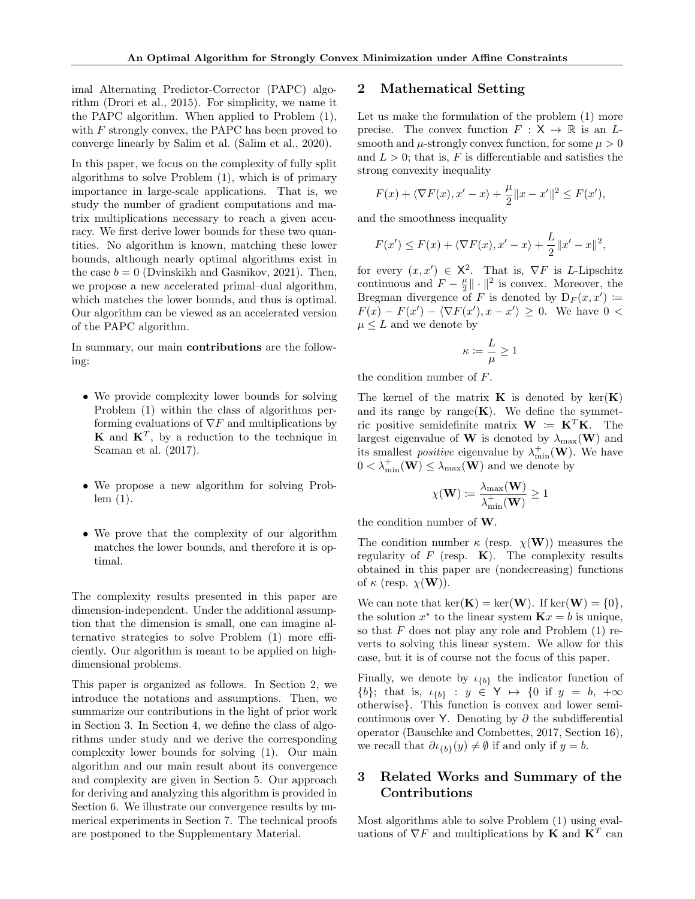imal Alternating Predictor-Corrector (PAPC) algorithm (Drori et al., 2015). For simplicity, we name it the PAPC algorithm. When applied to Problem (1), with  $F$  strongly convex, the PAPC has been proved to converge linearly by Salim et al. (Salim et al., 2020).

In this paper, we focus on the complexity of fully split algorithms to solve Problem (1), which is of primary importance in large-scale applications. That is, we study the number of gradient computations and matrix multiplications necessary to reach a given accuracy. We first derive lower bounds for these two quantities. No algorithm is known, matching these lower bounds, although nearly optimal algorithms exist in the case  $b = 0$  (Dvinskikh and Gasnikov, 2021). Then, we propose a new accelerated primal–dual algorithm, which matches the lower bounds, and thus is optimal. Our algorithm can be viewed as an accelerated version of the PAPC algorithm.

In summary, our main contributions are the following:

- We provide complexity lower bounds for solving Problem (1) within the class of algorithms performing evaluations of  $\nabla F$  and multiplications by **K** and  $K^T$ , by a reduction to the technique in Scaman et al. (2017).
- We propose a new algorithm for solving Problem (1).
- We prove that the complexity of our algorithm matches the lower bounds, and therefore it is optimal.

The complexity results presented in this paper are dimension-independent. Under the additional assumption that the dimension is small, one can imagine alternative strategies to solve Problem (1) more efficiently. Our algorithm is meant to be applied on highdimensional problems.

This paper is organized as follows. In Section 2, we introduce the notations and assumptions. Then, we summarize our contributions in the light of prior work in Section 3. In Section 4, we define the class of algorithms under study and we derive the corresponding complexity lower bounds for solving (1). Our main algorithm and our main result about its convergence and complexity are given in Section 5. Our approach for deriving and analyzing this algorithm is provided in Section 6. We illustrate our convergence results by numerical experiments in Section 7. The technical proofs are postponed to the Supplementary Material.

#### 2 Mathematical Setting

Let us make the formulation of the problem (1) more precise. The convex function  $F : X \to \mathbb{R}$  is an Lsmooth and  $\mu$ -strongly convex function, for some  $\mu > 0$ and  $L > 0$ ; that is, F is differentiable and satisfies the strong convexity inequality

$$
F(x) + \langle \nabla F(x), x' - x \rangle + \frac{\mu}{2} ||x - x'||^2 \le F(x'),
$$

and the smoothness inequality

$$
F(x') \le F(x) + \langle \nabla F(x), x' - x \rangle + \frac{L}{2} ||x' - x||^2,
$$

for every  $(x, x') \in \mathsf{X}^2$ . That is,  $\nabla F$  is *L*-Lipschitz continuous and  $F - \frac{\mu}{2} \|\cdot\|^2$  is convex. Moreover, the Bregman divergence of F is denoted by  $D_F(x, x') \coloneqq$  $F(x) - F(x') - \langle \nabla F(x'), x - x' \rangle \geq 0$ . We have  $0 <$  $\mu \leq L$  and we denote by

$$
\kappa \coloneqq \frac{L}{\mu} \geq 1
$$

the condition number of F.

The kernel of the matrix **K** is denoted by  $\ker(\mathbf{K})$ and its range by range $(K)$ . We define the symmetric positive semidefinite matrix  $\mathbf{W} := \mathbf{K}^T \mathbf{K}$ . The largest eigenvalue of **W** is denoted by  $\lambda_{\text{max}}(\mathbf{W})$  and its smallest *positive* eigenvalue by  $\lambda_{\min}^+(\mathbf{W})$ . We have  $0 < \lambda_{\min}^+(\mathbf{W}) \leq \lambda_{\max}(\mathbf{W})$  and we denote by

$$
\chi(\mathbf{W}) := \frac{\lambda_{\max}(\mathbf{W})}{\lambda_{\min}^+(\mathbf{W})} \ge 1
$$

the condition number of W.

The condition number  $\kappa$  (resp.  $\chi(\mathbf{W})$ ) measures the regularity of  $F$  (resp.  $\bf{K}$ ). The complexity results obtained in this paper are (nondecreasing) functions of  $\kappa$  (resp.  $\chi(\mathbf{W})$ ).

We can note that  $\ker(\mathbf{K}) = \ker(\mathbf{W})$ . If  $\ker(\mathbf{W}) = \{0\},\$ the solution  $x^*$  to the linear system  $\mathbf{K}x = b$  is unique, so that  $F$  does not play any role and Problem  $(1)$  reverts to solving this linear system. We allow for this case, but it is of course not the focus of this paper.

Finally, we denote by  $\iota_{\{b\}}$  the indicator function of  $\{b\};$  that is,  $\iota_{\{b\}} : y \in \mathsf{Y} \mapsto \{0 \text{ if } y = b, +\infty\}$ otherwise}. This function is convex and lower semicontinuous over Y. Denoting by  $\partial$  the subdifferential operator (Bauschke and Combettes, 2017, Section 16), we recall that  $\partial \iota_{\{b\}}(y) \neq \emptyset$  if and only if  $y = b$ .

# 3 Related Works and Summary of the Contributions

Most algorithms able to solve Problem (1) using evaluations of  $\nabla F$  and multiplications by **K** and  $\mathbf{K}^T$  can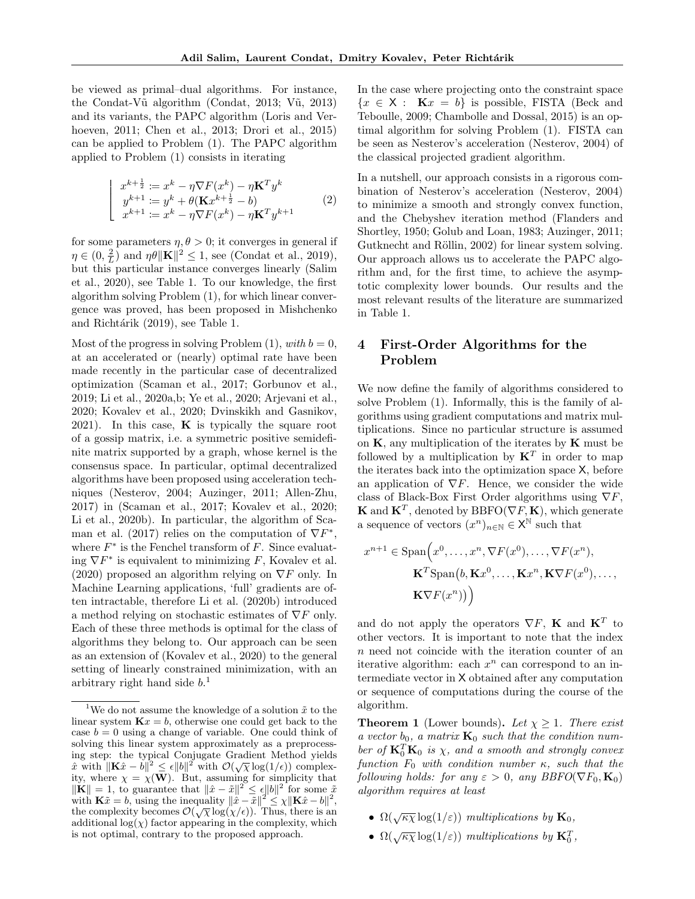be viewed as primal–dual algorithms. For instance, the Condat-Vũ algorithm (Condat, 2013; Vũ, 2013) and its variants, the PAPC algorithm (Loris and Verhoeven, 2011; Chen et al., 2013; Drori et al., 2015) can be applied to Problem (1). The PAPC algorithm applied to Problem (1) consists in iterating

$$
\begin{vmatrix}\nx^{k+\frac{1}{2}} & := x^k - \eta \nabla F(x^k) - \eta \mathbf{K}^T y^k \\
y^{k+1} & := y^k + \theta (\mathbf{K} x^{k+\frac{1}{2}} - b) \\
x^{k+1} & := x^k - \eta \nabla F(x^k) - \eta \mathbf{K}^T y^{k+1}\n\end{vmatrix} \tag{2}
$$

for some parameters  $\eta, \theta > 0$ ; it converges in general if  $\eta \in (0, \frac{2}{L})$  and  $\eta \theta \|\mathbf{K}\|^2 \leq 1$ , see (Condat et al., 2019), but this particular instance converges linearly (Salim et al., 2020), see Table 1. To our knowledge, the first algorithm solving Problem (1), for which linear convergence was proved, has been proposed in Mishchenko and Richtárik (2019), see Table 1.

Most of the progress in solving Problem  $(1)$ , with  $b = 0$ , at an accelerated or (nearly) optimal rate have been made recently in the particular case of decentralized optimization (Scaman et al., 2017; Gorbunov et al., 2019; Li et al., 2020a,b; Ye et al., 2020; Arjevani et al., 2020; Kovalev et al., 2020; Dvinskikh and Gasnikov, 2021). In this case,  $\bf{K}$  is typically the square root of a gossip matrix, i.e. a symmetric positive semidefinite matrix supported by a graph, whose kernel is the consensus space. In particular, optimal decentralized algorithms have been proposed using acceleration techniques (Nesterov, 2004; Auzinger, 2011; Allen-Zhu, 2017) in (Scaman et al., 2017; Kovalev et al., 2020; Li et al., 2020b). In particular, the algorithm of Scaman et al. (2017) relies on the computation of  $\nabla F^*$ , where  $F^*$  is the Fenchel transform of  $F$ . Since evaluating  $\nabla F^*$  is equivalent to minimizing F, Kovalev et al. (2020) proposed an algorithm relying on  $\nabla F$  only. In Machine Learning applications, 'full' gradients are often intractable, therefore Li et al. (2020b) introduced a method relying on stochastic estimates of  $\nabla F$  only. Each of these three methods is optimal for the class of algorithms they belong to. Our approach can be seen as an extension of (Kovalev et al., 2020) to the general setting of linearly constrained minimization, with an arbitrary right hand side  $b$ <sup>1</sup>

In the case where projecting onto the constraint space  ${x \in X : \mathbf{K}x = b}$  is possible, FISTA (Beck and Teboulle, 2009; Chambolle and Dossal, 2015) is an optimal algorithm for solving Problem (1). FISTA can be seen as Nesterov's acceleration (Nesterov, 2004) of the classical projected gradient algorithm.

In a nutshell, our approach consists in a rigorous combination of Nesterov's acceleration (Nesterov, 2004) to minimize a smooth and strongly convex function, and the Chebyshev iteration method (Flanders and Shortley, 1950; Golub and Loan, 1983; Auzinger, 2011; Gutknecht and Röllin, 2002) for linear system solving. Our approach allows us to accelerate the PAPC algorithm and, for the first time, to achieve the asymptotic complexity lower bounds. Our results and the most relevant results of the literature are summarized in Table 1.

# 4 First-Order Algorithms for the Problem

We now define the family of algorithms considered to solve Problem (1). Informally, this is the family of algorithms using gradient computations and matrix multiplications. Since no particular structure is assumed on  $K$ , any multiplication of the iterates by  $K$  must be followed by a multiplication by  $K^T$  in order to map the iterates back into the optimization space X, before an application of  $\nabla F$ . Hence, we consider the wide class of Black-Box First Order algorithms using  $\nabla F$ , **K** and  $\mathbf{K}^T$ , denoted by BBFO( $\nabla F$ , **K**), which generate a sequence of vectors  $(x^n)_{n\in\mathbb{N}}\in\mathsf{X}^{\mathbb{N}}$  such that

$$
x^{n+1} \in \text{Span}\Big(x^0, \dots, x^n, \nabla F(x^0), \dots, \nabla F(x^n),
$$

$$
\mathbf{K}^T \text{Span}\big(b, \mathbf{K}x^0, \dots, \mathbf{K}x^n, \mathbf{K} \nabla F(x^0), \dots,
$$

$$
\mathbf{K} \nabla F(x^n)\big)\Big)
$$

and do not apply the operators  $\nabla F$ , **K** and  $\mathbf{K}^T$  to other vectors. It is important to note that the index n need not coincide with the iteration counter of an iterative algorithm: each  $x^n$  can correspond to an intermediate vector in X obtained after any computation or sequence of computations during the course of the algorithm.

**Theorem 1** (Lower bounds). Let  $\chi \geq 1$ . There exist a vector  $b_0$ , a matrix  $\mathbf{K}_0$  such that the condition number of  $\mathbf{K}_0^T \mathbf{K}_0$  is  $\chi$ , and a smooth and strongly convex function  $F_0$  with condition number  $\kappa$ , such that the following holds: for any  $\varepsilon > 0$ , any BBFO( $\nabla F_0$ ,  $\mathbf{K}_0$ ) algorithm requires at least

- $\Omega(\sqrt{\kappa \chi} \log(1/\varepsilon))$  multiplications by  $\mathbf{K}_0$ ,
- $\Omega(\sqrt{\kappa \chi} \log(1/\varepsilon))$  multiplications by  $\mathbf{K}_0^T$ ,

<sup>&</sup>lt;sup>1</sup>We do not assume the knowledge of a solution  $\tilde{x}$  to the linear system  $\mathbf{K}x = b$ , otherwise one could get back to the case  $b = 0$  using a change of variable. One could think of solving this linear system approximately as a preprocessing step: the typical Conjugate Gradient Method yields  $\hat{x}$  with  $\|\mathbf{K}\hat{x} - b\|^2 \le \epsilon \|b\|^2$  with  $\mathcal{O}(\sqrt{\chi} \log(1/\epsilon))$  complexity, where  $\chi = \chi(\mathbf{W})$ . But, assuming for simplicity that  $\|\mathbf{K}\| = 1$ , to guarantee that  $\|\hat{x} - \tilde{x}\|^2 \leq \epsilon \|b\|^2$  for some  $\tilde{x}$ with  $\mathbf{K}\tilde{x} = b$ , using the inequality  $\|\hat{x} - \tilde{x}\|^2 \leq \chi \|\mathbf{K}\hat{x} - b\|^2$ , with  $\mathbf{K}x = v$ , using the inequality  $||x - x|| \ge x||\mathbf{K}x - v||$ ,<br>the complexity becomes  $\mathcal{O}(\sqrt{\chi} \log(\chi/\epsilon))$ . Thus, there is an additional  $log(\chi)$  factor appearing in the complexity, which is not optimal, contrary to the proposed approach.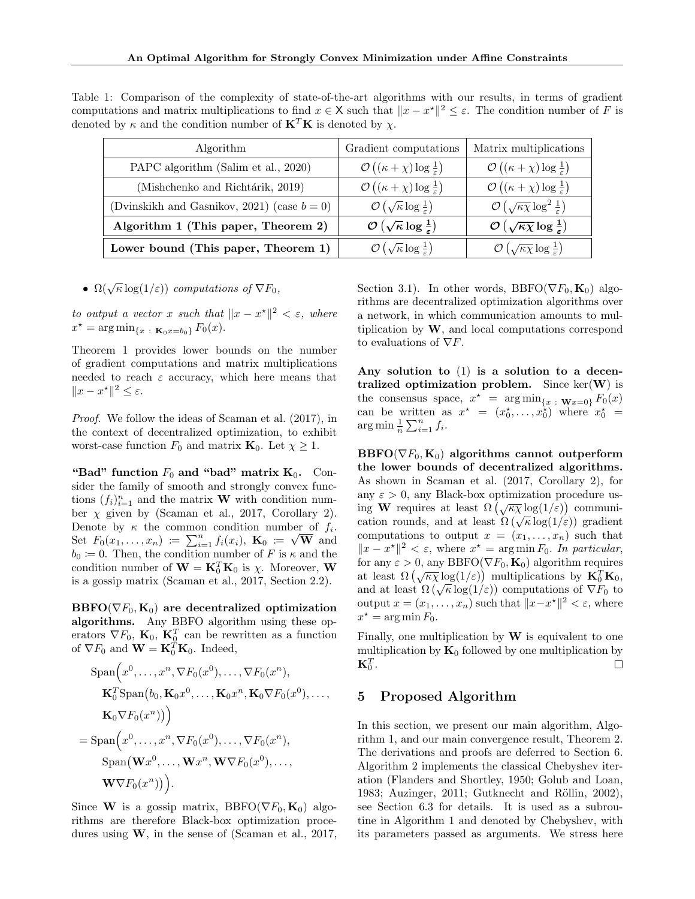Table 1: Comparison of the complexity of state-of-the-art algorithms with our results, in terms of gradient computations and matrix multiplications to find  $x \in X$  such that  $||x - x^*||^2 \leq \varepsilon$ . The condition number of F is denoted by  $\kappa$  and the condition number of  $\mathbf{K}^T \mathbf{K}$  is denoted by  $\chi$ .

| Algorithm                                      | Gradient computations                                            | Matrix multiplications                                                 |
|------------------------------------------------|------------------------------------------------------------------|------------------------------------------------------------------------|
| PAPC algorithm (Salim et al., 2020)            | $\mathcal{O}\left((\kappa+\chi)\log\frac{1}{\varepsilon}\right)$ | $\mathcal{O}\left((\kappa+\chi)\log\frac{1}{\varepsilon}\right)$       |
| (Mishchenko and Richtárik, 2019)               | $\mathcal{O}\left((\kappa+\chi)\log\frac{1}{\varepsilon}\right)$ | $\mathcal{O}\left((\kappa+\chi)\log\frac{1}{\varepsilon}\right)$       |
| (Dvinskikh and Gasnikov, 2021) (case $b = 0$ ) | $\mathcal{O}\left(\sqrt{\kappa}\log\frac{1}{\varepsilon}\right)$ | $\mathcal{O}\left(\sqrt{\kappa\chi}\log^2\frac{1}{\varepsilon}\right)$ |
| Algorithm 1 (This paper, Theorem 2)            | $\mathcal{O}\left(\sqrt{\kappa}\log\frac{1}{\varepsilon}\right)$ | $\mathcal{O}\left(\sqrt{\kappa\chi}\log\frac{1}{\varepsilon}\right)$   |
| Lower bound (This paper, Theorem 1)            | $\mathcal{O}\left(\sqrt{\kappa}\log\frac{1}{\varepsilon}\right)$ | $\mathcal{O}\left(\sqrt{\kappa\chi}\log\frac{1}{\varepsilon}\right)$   |

•  $\Omega(\sqrt{\kappa}\log(1/\varepsilon))$  computations of  $\nabla F_0$ ,

to output a vector x such that  $||x - x^*||^2 < \varepsilon$ , where  $x^* = \argmin_{\{x \; : \; \mathbf{K}_0 x = b_0\}} F_0(x).$ 

Theorem 1 provides lower bounds on the number of gradient computations and matrix multiplications needed to reach  $\varepsilon$  accuracy, which here means that  $||x - x^*||^2 \leq \varepsilon.$ 

Proof. We follow the ideas of Scaman et al. (2017), in the context of decentralized optimization, to exhibit worst-case function  $F_0$  and matrix  $\mathbf{K}_0$ . Let  $\chi \geq 1$ .

"Bad" function  $F_0$  and "bad" matrix  $K_0$ . Consider the family of smooth and strongly convex functions  $(f_i)_{i=1}^n$  and the matrix **W** with condition number  $\chi$  given by (Scaman et al., 2017, Corollary 2). Denote by  $\kappa$  the common condition number of  $f_i$ . Denote by  $\kappa$  the common condition number of  $J_i$ .<br>Set  $F_0(x_1,...,x_n) := \sum_{i=1}^n f_i(x_i)$ ,  $\mathbf{K}_0 := \sqrt{\mathbf{W}}$  and  $b_0 = 0$ . Then, the condition number of F is  $\kappa$  and the condition number of  $\mathbf{W} = \mathbf{K}_0^T \mathbf{K}_0$  is  $\chi$ . Moreover, **W** is a gossip matrix (Scaman et al., 2017, Section 2.2).

 $\text{BBFO}(\nabla F_0, \mathbf{K}_0)$  are decentralized optimization algorithms. Any BBFO algorithm using these operators  $\nabla F_0$ ,  $\mathbf{K}_0$ ,  $\mathbf{K}_0^T$  can be rewritten as a function of  $\nabla F_0$  and  $\mathbf{W} = \mathbf{K}_0^T \mathbf{K}_0$ . Indeed,

$$
\text{Span}\Big(x^0, \dots, x^n, \nabla F_0(x^0), \dots, \nabla F_0(x^n),
$$
\n
$$
\mathbf{K}_0^T \text{Span}\big(b_0, \mathbf{K}_0 x^0, \dots, \mathbf{K}_0 x^n, \mathbf{K}_0 \nabla F_0(x^0), \dots,
$$
\n
$$
\mathbf{K}_0 \nabla F_0(x^n)\big)\Big)
$$
\n
$$
= \text{Span}\Big(x^0, \dots, x^n, \nabla F_0(x^0), \dots, \nabla F_0(x^n),
$$
\n
$$
\text{Span}\big(\mathbf{W}x^0, \dots, \mathbf{W}x^n, \mathbf{W} \nabla F_0(x^0), \dots,
$$
\n
$$
\mathbf{W} \nabla F_0(x^n)\big)\Big).
$$

Since W is a gossip matrix, BBFO( $\nabla F_0$ ,  $\mathbf{K}_0$ ) algorithms are therefore Black-box optimization procedures using W, in the sense of (Scaman et al., 2017,

Section 3.1). In other words, BBFO( $\nabla F_0$ ,  $\mathbf{K}_0$ ) algorithms are decentralized optimization algorithms over a network, in which communication amounts to multiplication by  $W$ , and local computations correspond to evaluations of  $\nabla F$ .

Any solution to (1) is a solution to a decentralized optimization problem. Since  $\ker(W)$  is the consensus space,  $x^* = \arg \min_{\{x : \mathbf{W}x = 0\}} F_0(x)$ can be written as  $x^* = (x_0^*, \ldots, x_0^*)$  where  $x_0^* =$  $\arg \min_{n} \frac{1}{n} \sum_{i=1}^{n} f_i.$ 

 $\text{BBFO}(\nabla F_0, \mathbf{K}_0)$  algorithms cannot outperform the lower bounds of decentralized algorithms. As shown in Scaman et al. (2017, Corollary 2), for any  $\varepsilon > 0$ , any Black-box optimization procedure using W requires at least  $\Omega(\sqrt{\kappa \chi} \log(1/\varepsilon))$  communication rounds, and at least  $\Omega(\sqrt{\kappa} \log(1/\varepsilon))$  communication rounds, and at least  $\Omega(\sqrt{\kappa} \log(1/\varepsilon))$  gradient computations to output  $x = (x_1, \ldots, x_n)$  such that  $||x - x^*||^2 < \varepsilon$ , where  $x^* = \arg \min F_0$ . In particular, for any  $\varepsilon > 0$ , any BBFO( $\nabla F_0$ ,  $\mathbf{K}_0$ ) algorithm requires at least  $\Omega(\sqrt{\kappa \chi} \log(1/\varepsilon))$  multiplications by  $\mathbf{K}_0^T \mathbf{K}_0$ , at least  $\Omega(\sqrt{\kappa} \log(1/\varepsilon))$  indifferentiations by  $\mathbf{K}_0 \mathbf{K}_0$ ,<br>and at least  $\Omega(\sqrt{\kappa} \log(1/\varepsilon))$  computations of  $\nabla F_0$  to output  $x = (x_1, \ldots, x_n)$  such that  $||x - x^*||^2 < \varepsilon$ , where  $x^* = \arg \min F_0.$ 

Finally, one multiplication by  $W$  is equivalent to one multiplication by  $\mathbf{K}_0$  followed by one multiplication by  $\mathbf{K}_{0}^{T}.$  $\Box$ 

# 5 Proposed Algorithm

In this section, we present our main algorithm, Algorithm 1, and our main convergence result, Theorem 2. The derivations and proofs are deferred to Section 6. Algorithm 2 implements the classical Chebyshev iteration (Flanders and Shortley, 1950; Golub and Loan, 1983; Auzinger, 2011; Gutknecht and Röllin, 2002), see Section 6.3 for details. It is used as a subroutine in Algorithm 1 and denoted by Chebyshev, with its parameters passed as arguments. We stress here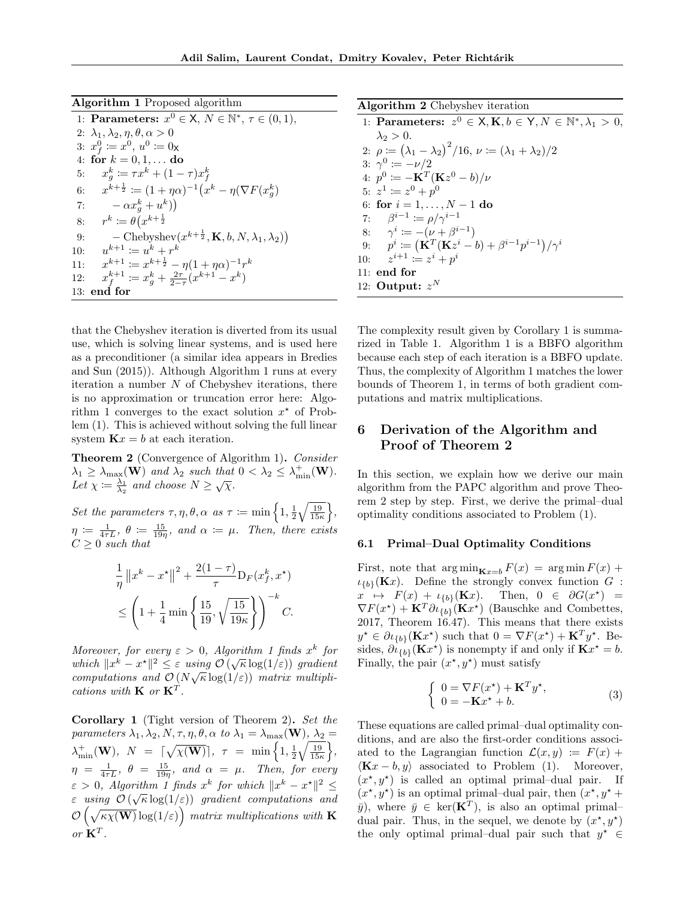| Algorithm 1 Proposed algorithm |  |  |  |
|--------------------------------|--|--|--|
|--------------------------------|--|--|--|

| 1: Parameters: $x^0 \in \mathsf{X}, N \in \mathbb{N}^*, \tau \in (0,1),$                   |
|--------------------------------------------------------------------------------------------|
| 2: $\lambda_1, \lambda_2, \eta, \theta, \alpha > 0$                                        |
| 3: $x_f^0 \coloneqq x^0, u^0 \coloneqq 0$ <sub>X</sub>                                     |
| 4: for $k = 0, 1, $ do                                                                     |
| $x_a^k \coloneqq \tau x^k + (1 - \tau) x_f^k$<br>5:                                        |
| $x^{k+\frac{1}{2}} \coloneqq (1+\eta\alpha)^{-1}(x^k - \eta(\nabla F(x^k_{\alpha}))$<br>6: |
| $-\alpha x_a^k + u^k)$<br>7:                                                               |
| $r^k \coloneqq \theta(x^{k+\frac{1}{2}})$<br>8:                                            |
| $-\text{Chebyshev}(x^{k+\frac{1}{2}}, \mathbf{K}, b, N, \lambda_1, \lambda_2))$<br>9:      |
| $u^{k+1} := u^k + r^k$<br>10:                                                              |
| $x^{k+1} \coloneqq x^{k+\frac{1}{2}} - \eta(1+\eta\alpha)^{-1}r^k$<br>11:                  |
| $x_f^{k+1} := x_a^k + \frac{2\tau}{2-\tau}(x^{k+1} - x^k)$<br>12:                          |
| 13: end for                                                                                |

that the Chebyshev iteration is diverted from its usual use, which is solving linear systems, and is used here as a preconditioner (a similar idea appears in Bredies and Sun (2015)). Although Algorithm 1 runs at every iteration a number  $N$  of Chebyshev iterations, there is no approximation or truncation error here: Algorithm 1 converges to the exact solution  $x^*$  of Problem (1). This is achieved without solving the full linear system  $\mathbf{K}x = b$  at each iteration.

Theorem 2 (Convergence of Algorithm 1). Consider  $\lambda_1 \geq \lambda_{\max}(\mathbf{W})$  and  $\lambda_2$  such that  $0 < \lambda_2 \leq \lambda_{\min}^+(\mathbf{W})$ .  $\Delta t \geq \frac{\lambda_{\max}(\mathbf{W})}{\lambda_2}$  and choose  $N \geq \sqrt{\chi}$ .

Set the parameters  $\tau, \eta, \theta, \alpha$  as  $\tau \coloneqq \min\left\{1, \frac{1}{2}\sqrt{\frac{19}{15\kappa}}\right\},\$  $\eta \coloneqq \frac{1}{4\tau L}, \ \theta \coloneqq \frac{15}{19\eta}, \ and \ \alpha \coloneqq \mu.$  Then, there exists  $C \geq 0$  such that

$$
\frac{1}{\eta} ||x^k - x^\star||^2 + \frac{2(1-\tau)}{\tau} D_F(x_f^k, x^\star)
$$
  

$$
\leq \left(1 + \frac{1}{4} \min\left\{\frac{15}{19}, \sqrt{\frac{15}{19\kappa}}\right\}\right)^{-k} C.
$$

Moreover, for every  $\varepsilon > 0$ , Algorithm 1 finds  $x^k$  for Moreover, for every  $\varepsilon > 0$ , Algorithm 1 finals x for<br>which  $||x^k - x^*||^2 \leq \varepsilon$  using  $\mathcal{O}(\sqrt{\kappa} \log(1/\varepsilon))$  gradient computations and  $\mathcal{O}(N\sqrt{\kappa}\log(1/\varepsilon))$  matrix multiplications with  $\mathbf{K}$  or  $\mathbf{K}^T$ .

Corollary 1 (Tight version of Theorem 2). Set the parameters  $\lambda_1, \lambda_2, N, \tau, \eta, \theta, \alpha$  to  $\lambda_1 = \lambda_{\max}(\mathbf{W}), \lambda_2 =$  $\lambda_{\min}^+({\bf W}), ~~ N~~ = ~~ \lceil \sqrt{\chi({\bf W})} \rceil, ~~ \tau~~ =~~ \min \Big\{ 1, \tfrac{1}{2} \sqrt{\tfrac{19}{15\kappa}} \Big\},$  $\eta = \frac{1}{4\tau L}, \ \theta = \frac{15}{19\eta}, \ and \ \alpha = \mu.$  Then, for every  $\varepsilon > 0$ , Algorithm 1 finds  $x^k$  for which  $||x^k - x^*||^2 \le$  $\varepsilon$  using  $\mathcal{O}(\sqrt{\kappa}\log(1/\varepsilon))$  gradient computations and  $\mathcal{O}\left(\sqrt{\kappa\chi(\mathbf{W})}\log(1/\varepsilon)\right)$  matrix multiplications with **K** or  $\mathbf{K}^T$ .

| Algorithm 2 Chebyshev iteration |  |  |  |
|---------------------------------|--|--|--|
|---------------------------------|--|--|--|

| 1: Parameters: $z^0 \in \mathsf{X}, \mathbf{K}, b \in \mathsf{Y}, N \in \mathbb{N}^*, \lambda_1 > 0$ , |  |
|--------------------------------------------------------------------------------------------------------|--|
| $\lambda_2 > 0$ .                                                                                      |  |
| 2: $\rho := (\lambda_1 - \lambda_2)^2 / 16$ , $\nu := (\lambda_1 + \lambda_2) / 2$                     |  |
| 3: $\gamma^0 \coloneqq -\nu/2$                                                                         |  |
| 4: $p^0 := -\mathbf{K}^T(\mathbf{K}z^0 - b)/\nu$                                                       |  |
| 5: $z^1 \coloneqq z^0 + p^0$                                                                           |  |
| 6: for $i = 1, , N - 1$ do                                                                             |  |
| 7: $\beta^{i-1} := \rho / \gamma^{i-1}$                                                                |  |
| 8: $\gamma^i := -(\nu + \beta^{i-1})$                                                                  |  |
| 9: $p^i := (\mathbf{K}^T(\mathbf{K}z^i - b) + \beta^{i-1}p^{i-1})/\gamma^i$                            |  |
| 10: $z^{i+1} \coloneqq z^i + p^i$                                                                      |  |
| $11:$ end for                                                                                          |  |
| 12: Output: $z^N$                                                                                      |  |
|                                                                                                        |  |

The complexity result given by Corollary 1 is summarized in Table 1. Algorithm 1 is a BBFO algorithm because each step of each iteration is a BBFO update. Thus, the complexity of Algorithm 1 matches the lower bounds of Theorem 1, in terms of both gradient computations and matrix multiplications.

# 6 Derivation of the Algorithm and Proof of Theorem 2

In this section, we explain how we derive our main algorithm from the PAPC algorithm and prove Theorem 2 step by step. First, we derive the primal–dual optimality conditions associated to Problem (1).

#### 6.1 Primal–Dual Optimality Conditions

First, note that  $\arg \min_{\mathbf{K}_{x=b}} F(x) = \arg \min F(x) +$  $\iota_{\{b\}}(\mathbf{K}x)$ . Define the strongly convex function G :  $x \mapsto F(x) + \iota_{\{b\}}(\mathbf{K}x).$  $\lambda$ ) =  $\nabla F(x^*) + \mathbf{K}^T \partial \iota_{\{b\}}(\mathbf{K} x^*)$  (Bauschke and Combettes, 2017, Theorem 16.47). This means that there exists  $y^* \in \partial \iota_{\{b\}} (\mathbf{K} x^*)$  such that  $0 = \nabla F(x^*) + \mathbf{K}^T y^*$ . Besides,  $\partial \iota_{\{b\}}(\mathbf{K}x^*)$  is nonempty if and only if  $\mathbf{K}x^* = b$ . Finally, the pair  $(x^*, y^*)$  must satisfy

$$
\begin{cases}\n0 = \nabla F(x^*) + \mathbf{K}^T y^*, \\
0 = -\mathbf{K}x^* + b.\n\end{cases} \tag{3}
$$

These equations are called primal–dual optimality conditions, and are also the first-order conditions associated to the Lagrangian function  $\mathcal{L}(x, y) := F(x) +$  $\langle \mathbf{K} x - b, y \rangle$  associated to Problem (1). Moreover,  $(x^*, y^*)$  is called an optimal primal-dual pair. If  $(x^*, y^*)$  is an optimal primal-dual pair, then  $(x^*, y^* +$  $\bar{y}$ , where  $\bar{y} \in \text{ker}(\mathbf{K}^T)$ , is also an optimal primaldual pair. Thus, in the sequel, we denote by  $(x^*, y^*)$ the only optimal primal–dual pair such that  $y^* \in$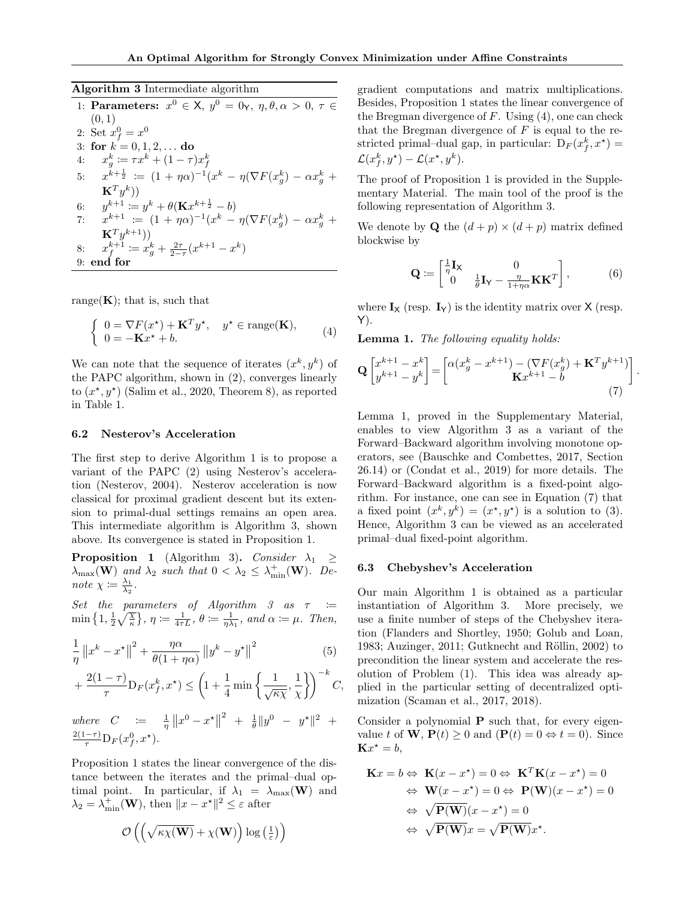Algorithm 3 Intermediate algorithm

1: Parameters:  $x^0 \in X$ ,  $y^0 = 0$  $\gamma$ ,  $\eta$ ,  $\theta$ ,  $\alpha > 0$ ,  $\tau \in$  $(0, 1)$ 2: Set  $x_f^0 = x^0$ 3: for  $k = 0, 1, 2, ...$  do 4:  $x_g^k \coloneqq \tau x^k + (1 - \tau) x_f^k$ 5:  $x^{k+\frac{1}{2}} \coloneqq (1+\eta\alpha)^{-1}(x^k - \eta(\nabla F(x_g^k) - \alpha x_g^k +$  $\mathbf{K}^T y^k))$ 6:  $y^{k+1} := y^k + \theta(\mathbf{K}x^{k+\frac{1}{2}} - b)$ 7: x  $k+1$  :=  $(1 + \eta \alpha)^{-1} (x^k - \eta (\nabla F(x_g^k) - \alpha x_g^k +$  $\mathbf{K}^T y^{k+1}))$ 8:  $x_f^{k+1} := x_g^k + \frac{2\tau}{2-\tau}(x^{k+1} - x^k)$ 9: end for

range $(K)$ ; that is, such that

$$
\begin{cases}\n0 = \nabla F(x^*) + \mathbf{K}^T y^*, & y^* \in \text{range}(\mathbf{K}), \\
0 = -\mathbf{K}x^* + b.\n\end{cases} \tag{4}
$$

We can note that the sequence of iterates  $(x^k, y^k)$  of the PAPC algorithm, shown in (2), converges linearly to  $(x^*, y^*)$  (Salim et al., 2020, Theorem 8), as reported in Table 1.

#### 6.2 Nesterov's Acceleration

The first step to derive Algorithm 1 is to propose a variant of the PAPC (2) using Nesterov's acceleration (Nesterov, 2004). Nesterov acceleration is now classical for proximal gradient descent but its extension to primal-dual settings remains an open area. This intermediate algorithm is Algorithm 3, shown above. Its convergence is stated in Proposition 1.

**Proposition 1** (Algorithm 3). Consider  $\lambda_1 \geq$  $\lambda_{\max}(\mathbf{W})$  and  $\lambda_2$  such that  $0 < \lambda_2 \leq \lambda_{\min}^+(\mathbf{W})$ . Denote  $\chi \coloneqq \frac{\lambda_1}{\lambda_2}$ .

Set the parameters of Algorithm 3 as  $\tau$  :=  $\min\left\{1,\frac{1}{2}\sqrt{\frac{\chi}{\kappa}}\right\},\,\eta\coloneqq\frac{1}{4\tau L},\,\theta\coloneqq\frac{1}{\eta\lambda_1},\ and\ \alpha\coloneqq\mu.\ \ Then,$ 

$$
\frac{1}{\eta} \|x^k - x^\star\|^2 + \frac{\eta \alpha}{\theta (1 + \eta \alpha)} \|y^k - y^\star\|^2 \tag{5}
$$

$$
+\frac{2(1-\tau)}{\tau}D_F(x_f^k, x^\star) \le \left(1+\frac{1}{4}\min\left\{\frac{1}{\sqrt{\kappa\chi}}, \frac{1}{\chi}\right\}\right)^{-k}C,
$$

where  $C := \frac{1}{\eta} ||x^0 - x^*||$  $2 + \frac{1}{\theta} \|y^0 - y^{\star}\|^2 +$  $\frac{2(1-\tau)}{\tau} \mathcal{D}_F(x_f^0, x^{\star}).$ 

Proposition 1 states the linear convergence of the distance between the iterates and the primal–dual optimal point. In particular, if  $\lambda_1 = \lambda_{\max}(\mathbf{W})$  and  $\lambda_2 = \lambda_{\min}^+(\mathbf{W})$ , then  $||x - x^*||^2 \leq \varepsilon$  after

$$
\mathcal{O}\left(\left(\sqrt{\kappa\chi(\mathbf{W})}+\chi(\mathbf{W})\right)\log\left(\tfrac{1}{\varepsilon}\right)\right)
$$

gradient computations and matrix multiplications. Besides, Proposition 1 states the linear convergence of the Bregman divergence of  $F$ . Using  $(4)$ , one can check that the Bregman divergence of  $F$  is equal to the restricted primal-dual gap, in particular:  $D_F(x_f^k, x^*) =$  $\mathcal{L}(x_f^k, y^\star) - \mathcal{L}(x^\star, y^k).$ 

The proof of Proposition 1 is provided in the Supplementary Material. The main tool of the proof is the following representation of Algorithm 3.

We denote by **Q** the  $(d+p) \times (d+p)$  matrix defined blockwise by

$$
\mathbf{Q} \coloneqq \begin{bmatrix} \frac{1}{\eta} \mathbf{I}_{\mathsf{X}} & 0\\ 0 & \frac{1}{\theta} \mathbf{I}_{\mathsf{Y}} - \frac{\eta}{1 + \eta \alpha} \mathbf{K} \mathbf{K}^T \end{bmatrix},\tag{6}
$$

.

where  $\mathbf{I}_{\mathsf{X}}$  (resp.  $\mathbf{I}_{\mathsf{Y}}$ ) is the identity matrix over  $\mathsf{X}$  (resp. Y).

Lemma 1. The following equality holds:

$$
\mathbf{Q} \begin{bmatrix} x^{k+1} - x^k \ y^{k+1} - y^k \end{bmatrix} = \begin{bmatrix} \alpha (x_g^k - x^{k+1}) - (\nabla F(x_g^k) + \mathbf{K}^T y^{k+1}) \\ \mathbf{K} x^{k+1} - b \end{bmatrix}
$$
\n
$$
(7)
$$

Lemma 1, proved in the Supplementary Material, enables to view Algorithm 3 as a variant of the Forward–Backward algorithm involving monotone operators, see (Bauschke and Combettes, 2017, Section 26.14) or (Condat et al., 2019) for more details. The Forward–Backward algorithm is a fixed-point algorithm. For instance, one can see in Equation (7) that a fixed point  $(x^k, y^k) = (x^*, y^*)$  is a solution to (3). Hence, Algorithm 3 can be viewed as an accelerated primal–dual fixed-point algorithm.

#### 6.3 Chebyshev's Acceleration

Our main Algorithm 1 is obtained as a particular instantiation of Algorithm 3. More precisely, we use a finite number of steps of the Chebyshev iteration (Flanders and Shortley, 1950; Golub and Loan, 1983; Auzinger, 2011; Gutknecht and Röllin, 2002) to precondition the linear system and accelerate the resolution of Problem (1). This idea was already applied in the particular setting of decentralized optimization (Scaman et al., 2017, 2018).

Consider a polynomial  $P$  such that, for every eigenvalue t of **W**,  $P(t) > 0$  and  $(P(t) = 0 \Leftrightarrow t = 0)$ . Since  $\mathbf{K}x^* = b$ ,

$$
\mathbf{K}x = b \Leftrightarrow \mathbf{K}(x - x^*) = 0 \Leftrightarrow \mathbf{K}^T \mathbf{K}(x - x^*) = 0
$$
  
\n
$$
\Leftrightarrow \mathbf{W}(x - x^*) = 0 \Leftrightarrow \mathbf{P}(\mathbf{W})(x - x^*) = 0
$$
  
\n
$$
\Leftrightarrow \sqrt{\mathbf{P}(\mathbf{W})}(x - x^*) = 0
$$
  
\n
$$
\Leftrightarrow \sqrt{\mathbf{P}(\mathbf{W})}x = \sqrt{\mathbf{P}(\mathbf{W})}x^*.
$$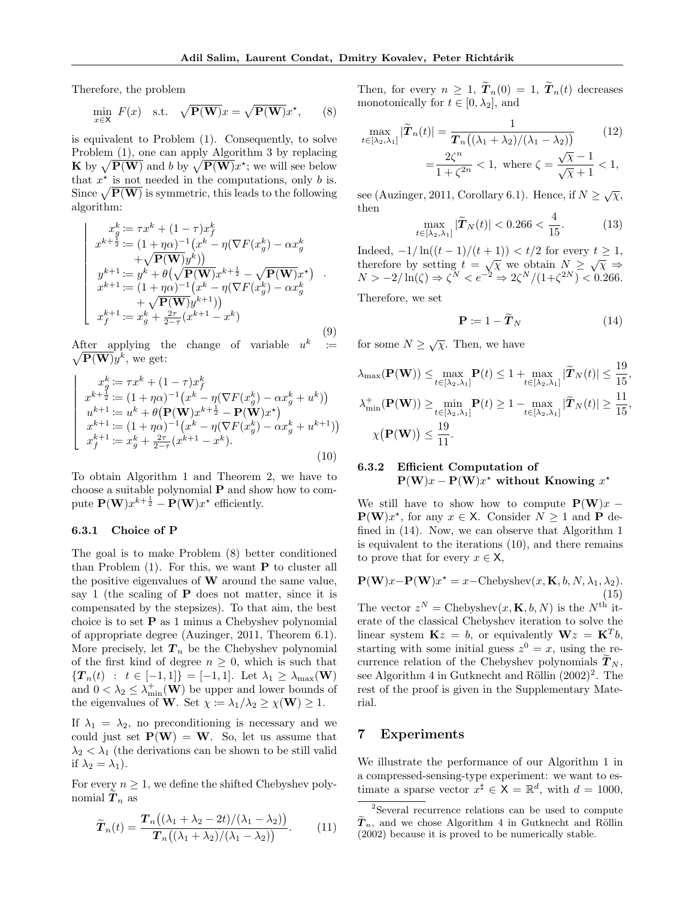Therefore, the problem

$$
\min_{x \in \mathsf{X}} F(x) \quad \text{s.t.} \quad \sqrt{\mathbf{P}(\mathbf{W})}x = \sqrt{\mathbf{P}(\mathbf{W})}x^*, \qquad (8)
$$

is equivalent to Problem (1). Consequently, to solve Problem (1), one can apply Algorithm 3 by replacing **K** by  $\sqrt{P(W)}$  and b by  $\sqrt{P(W)}x^*$ ; we will see below that  $x^*$  is not needed in the computations, only b is. Since  $\sqrt{\mathbf{P(W)}}$  is symmetric, this leads to the following algorithm:

$$
\begin{cases}\nx_g^k := \tau x^k + (1 - \tau) x_f^k \\
x^{k + \frac{1}{2}} := (1 + \eta \alpha)^{-1} (x^k - \eta (\nabla F(x_g^k) - \alpha x_g^k) \\
+ \sqrt{\mathbf{P(W)}} y^k) \\
y^{k+1} := y^k + \theta (\sqrt{\mathbf{P(W)}} x^{k + \frac{1}{2}} - \sqrt{\mathbf{P(W)}} x^*) \\
x^{k+1} := (1 + \eta \alpha)^{-1} (x^k - \eta (\nabla F(x_g^k) - \alpha x_g^k) \\
+ \sqrt{\mathbf{P(W)}} y^{k+1}) \\
x_f^{k+1} := x_g^k + \frac{2\tau}{2 - \tau} (x^{k+1} - x^k)\n\end{cases} (9)
$$

After applying the change of variable  $u^k = \sqrt{\mathbf{P}(\mathbf{W})} u^k$ , we get: k  $\overline{\mathbf{P(W)}}y^k$ , we get:

$$
\begin{cases}\nx_{g}^{k} := \tau x^{k} + (1 - \tau)x_{f}^{k} \\
x^{k + \frac{1}{2}} := (1 + \eta \alpha)^{-1} (x^{k} - \eta (\nabla F(x_{g}^{k}) - \alpha x_{g}^{k} + u^{k})) \\
u^{k + 1} := u^{k} + \theta (\mathbf{P}(\mathbf{W})x^{k + \frac{1}{2}} - \mathbf{P}(\mathbf{W})x^{*}) \\
x^{k + 1} := (1 + \eta \alpha)^{-1} (x^{k} - \eta (\nabla F(x_{g}^{k}) - \alpha x_{g}^{k} + u^{k + 1})) \\
x_{f}^{k + 1} := x_{g}^{k} + \frac{2\tau}{2 - \tau} (x^{k + 1} - x^{k}).\n\end{cases}
$$
\n(10)

To obtain Algorithm 1 and Theorem 2, we have to choose a suitable polynomial  $P$  and show how to compute  $\mathbf{P}(\mathbf{W})x^{k+\frac{1}{2}} - \mathbf{P}(\mathbf{W})x^{*}$  efficiently.

## 6.3.1 Choice of P

The goal is to make Problem (8) better conditioned than Problem  $(1)$ . For this, we want **P** to cluster all the positive eigenvalues of  $W$  around the same value, say 1 (the scaling of  $P$  does not matter, since it is compensated by the stepsizes). To that aim, the best choice is to set P as 1 minus a Chebyshev polynomial of appropriate degree (Auzinger, 2011, Theorem 6.1). More precisely, let  $T_n$  be the Chebyshev polynomial of the first kind of degree  $n \geq 0$ , which is such that  $\{T_n(t) : t \in [-1,1]\} = [-1,1].$  Let  $\lambda_1 \geq \lambda_{\max}(\mathbf{W})$ and  $0 < \lambda_2 \leq \lambda_{\min}^+(\mathbf{W})$  be upper and lower bounds of the eigenvalues of **W**. Set  $\chi := \lambda_1/\lambda_2 \ge \chi(\mathbf{W}) \ge 1$ .

If  $\lambda_1 = \lambda_2$ , no preconditioning is necessary and we could just set  $P(W) = W$ . So, let us assume that  $\lambda_2 < \lambda_1$  (the derivations can be shown to be still valid if  $\lambda_2 = \lambda_1$ ).

For every  $n \geq 1$ , we define the shifted Chebyshev polynomial  $T_n$  as

$$
\widetilde{\boldsymbol{T}}_n(t) = \frac{\boldsymbol{T}_n\big((\lambda_1 + \lambda_2 - 2t)/(\lambda_1 - \lambda_2)\big)}{\boldsymbol{T}_n\big((\lambda_1 + \lambda_2)/(\lambda_1 - \lambda_2)\big)}.
$$
 (11)

Then, for every  $n \geq 1$ ,  $\widetilde{T}_n(0) = 1$ ,  $\widetilde{T}_n(t)$  decreases monotonically for  $t \in [0, \lambda_2]$ , and

$$
\max_{t \in [\lambda_2, \lambda_1]} |\widetilde{T}_n(t)| = \frac{1}{T_n((\lambda_1 + \lambda_2)/(\lambda_1 - \lambda_2))}
$$
(12)  
= 
$$
\frac{2\zeta^n}{1 + \zeta^{2n}} < 1, \text{ where } \zeta = \frac{\sqrt{\chi} - 1}{\sqrt{\chi} + 1} < 1,
$$

see (Auzinger, 2011, Corollary 6.1). Hence, if  $N \geq \sqrt{\chi}$ , then

$$
\max_{t \in [\lambda_2, \lambda_1]} |\widetilde{T}_N(t)| < 0.266 < \frac{4}{15}.\tag{13}
$$

Indeed,  $-1/\ln((t-1)/(t+1)) < t/2$  for every  $t > 1$ , therefore by setting  $t = \sqrt{\chi}$  we obtain  $N \geq \sqrt{\chi} \Rightarrow$  $N > -2/\ln(\zeta) \Rightarrow \zeta^N < e^{-2} \Rightarrow 2\zeta^N/(1+\zeta^{2N}) < 0.266.$ Therefore, we set

 $\mathbf{P} \coloneqq 1 - \widetilde{\boldsymbol{T}}_N$  (14)

for some  $N \geq \sqrt{\chi}$ . Then, we have

$$
\lambda_{\max}(\mathbf{P}(\mathbf{W})) \leq \max_{t \in [\lambda_2, \lambda_1]} \mathbf{P}(t) \leq 1 + \max_{t \in [\lambda_2, \lambda_1]} |\widetilde{\boldsymbol{T}}_N(t)| \leq \frac{19}{15},
$$
  

$$
\lambda_{\min}^+(\mathbf{P}(\mathbf{W})) \geq \min_{t \in [\lambda_2, \lambda_1]} \mathbf{P}(t) \geq 1 - \max_{t \in [\lambda_2, \lambda_1]} |\widetilde{\boldsymbol{T}}_N(t)| \geq \frac{11}{15},
$$
  

$$
\chi(\mathbf{P}(\mathbf{W})) \leq \frac{19}{11}.
$$

# 6.3.2 Efficient Computation of  $P(W)x - P(W)x^*$  without Knowing  $x^*$

We still have to show how to compute  $P(W)x \mathbf{P}(\mathbf{W})x^*$ , for any  $x \in \mathsf{X}$ . Consider  $N \geq 1$  and  $\mathbf{P}$  defined in (14). Now, we can observe that Algorithm 1 is equivalent to the iterations (10), and there remains to prove that for every  $x \in \mathsf{X}$ ,

$$
\mathbf{P}(\mathbf{W})x - \mathbf{P}(\mathbf{W})x^* = x - \text{Chebyshev}(x, \mathbf{K}, b, N, \lambda_1, \lambda_2).
$$
\n(15)

The vector  $z^N =$  Chebyshev $(x, \mathbf{K}, b, N)$  is the  $N^{\text{th}}$  iterate of the classical Chebyshev iteration to solve the linear system  $\mathbf{K}z = b$ , or equivalently  $\mathbf{W}z = \mathbf{K}^T b$ , starting with some initial guess  $z^0 = x$ , using the recurrence relation of the Chebyshev polynomials  $\widetilde{T}_N$ , see Algorithm 4 in Gutknecht and Röllin  $(2002)^2$ . The rest of the proof is given in the Supplementary Material.

## 7 Experiments

We illustrate the performance of our Algorithm 1 in a compressed-sensing-type experiment: we want to estimate a sparse vector  $x^{\sharp} \in \mathsf{X} = \mathbb{R}^{d}$ , with  $d = 1000$ ,

<sup>2</sup>Several recurrence relations can be used to compute  $\widetilde{T}_n$ , and we chose Algorithm 4 in Gutknecht and Röllin (2002) because it is proved to be numerically stable.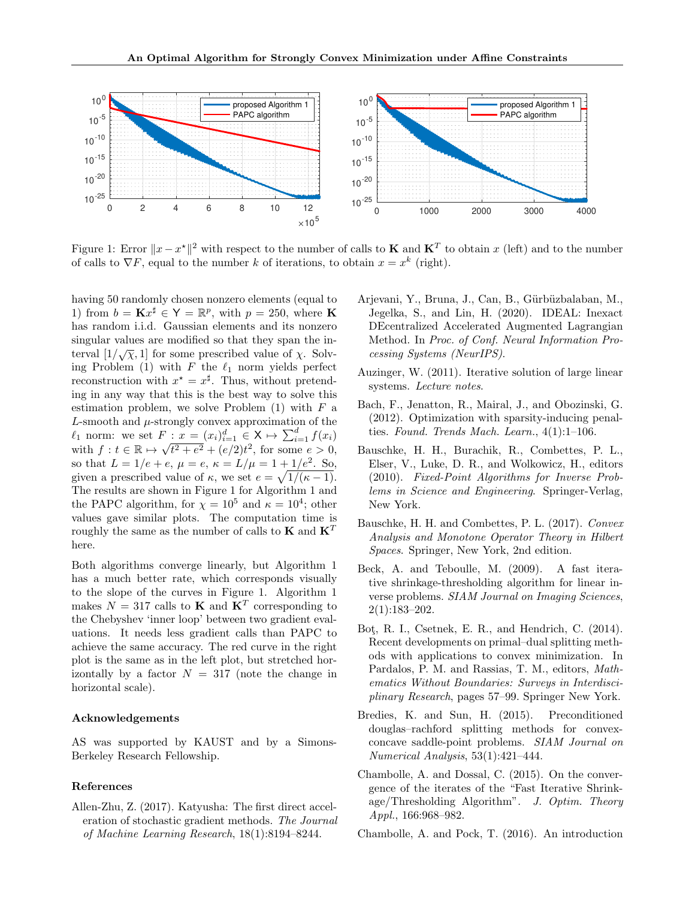

Figure 1: Error  $||x - x^*||^2$  with respect to the number of calls to **K** and **K**<sup>T</sup> to obtain x (left) and to the number of calls to  $\nabla F$ , equal to the number k of iterations, to obtain  $x = x^k$  (right).

having 50 randomly chosen nonzero elements (equal to 1) from  $b = \mathbf{K} x^{\sharp} \in \mathsf{Y} = \mathbb{R}^p$ , with  $p = 250$ , where **K** has random i.i.d. Gaussian elements and its nonzero singular values are modified so that they span the insingular values are modified so that they span the interval  $[1/\sqrt{\chi}, 1]$  for some prescribed value of  $\chi$ . Solving Problem (1) with F the  $\ell_1$  norm yields perfect reconstruction with  $x^* = x^{\sharp}$ . Thus, without pretending in any way that this is the best way to solve this estimation problem, we solve Problem  $(1)$  with  $F$  a  $L$ -smooth and  $\mu$ -strongly convex approximation of the  $\ell_1$  norm: we set  $F: x = (x_i)_{i=1}^d \in X \mapsto \sum_{i=1}^d f(x_i)$  $\ell_1$  norm: we set  $F$ <br>with  $f : t \in \mathbb{R} \mapsto \sqrt{2}$  $t^2 + e^2 + (e/2)t^2$ , for some  $e > 0$ , so that  $L = 1/e + e$ ,  $\mu = e$ ,  $\kappa = L/\mu = 1 + 1/e^2$ . So, given a prescribed value of  $\kappa$ , we set  $e = \sqrt{1/(\kappa - 1)}$ . The results are shown in Figure 1 for Algorithm 1 and the PAPC algorithm, for  $\chi = 10^5$  and  $\kappa = 10^4$ ; other values gave similar plots. The computation time is roughly the same as the number of calls to  $\mathbf{K}$  and  $\mathbf{K}^T$ here.

Both algorithms converge linearly, but Algorithm 1 has a much better rate, which corresponds visually to the slope of the curves in Figure 1. Algorithm 1 makes  $N = 317$  calls to **K** and  $\mathbf{K}^T$  corresponding to the Chebyshev 'inner loop' between two gradient evaluations. It needs less gradient calls than PAPC to achieve the same accuracy. The red curve in the right plot is the same as in the left plot, but stretched horizontally by a factor  $N = 317$  (note the change in horizontal scale).

### Acknowledgements

AS was supported by KAUST and by a Simons-Berkeley Research Fellowship.

### References

Allen-Zhu, Z. (2017). Katyusha: The first direct acceleration of stochastic gradient methods. The Journal of Machine Learning Research, 18(1):8194–8244.

- Arjevani, Y., Bruna, J., Can, B., Gürbüzbalaban, M., Jegelka, S., and Lin, H. (2020). IDEAL: Inexact DEcentralized Accelerated Augmented Lagrangian Method. In Proc. of Conf. Neural Information Processing Systems (NeurIPS).
- Auzinger, W. (2011). Iterative solution of large linear systems. Lecture notes.
- Bach, F., Jenatton, R., Mairal, J., and Obozinski, G. (2012). Optimization with sparsity-inducing penalties. Found. Trends Mach. Learn., 4(1):1–106.
- Bauschke, H. H., Burachik, R., Combettes, P. L., Elser, V., Luke, D. R., and Wolkowicz, H., editors (2010). Fixed-Point Algorithms for Inverse Problems in Science and Engineering. Springer-Verlag, New York.
- Bauschke, H. H. and Combettes, P. L. (2017). Convex Analysis and Monotone Operator Theory in Hilbert Spaces. Springer, New York, 2nd edition.
- Beck, A. and Teboulle, M. (2009). A fast iterative shrinkage-thresholding algorithm for linear inverse problems. SIAM Journal on Imaging Sciences, 2(1):183–202.
- Bot¸, R. I., Csetnek, E. R., and Hendrich, C. (2014). Recent developments on primal–dual splitting methods with applications to convex minimization. In Pardalos, P. M. and Rassias, T. M., editors, Mathematics Without Boundaries: Surveys in Interdisciplinary Research, pages 57–99. Springer New York.
- Bredies, K. and Sun, H. (2015). Preconditioned douglas–rachford splitting methods for convexconcave saddle-point problems. SIAM Journal on Numerical Analysis, 53(1):421–444.
- Chambolle, A. and Dossal, C. (2015). On the convergence of the iterates of the "Fast Iterative Shrinkage/Thresholding Algorithm". J. Optim. Theory Appl., 166:968–982.
- Chambolle, A. and Pock, T. (2016). An introduction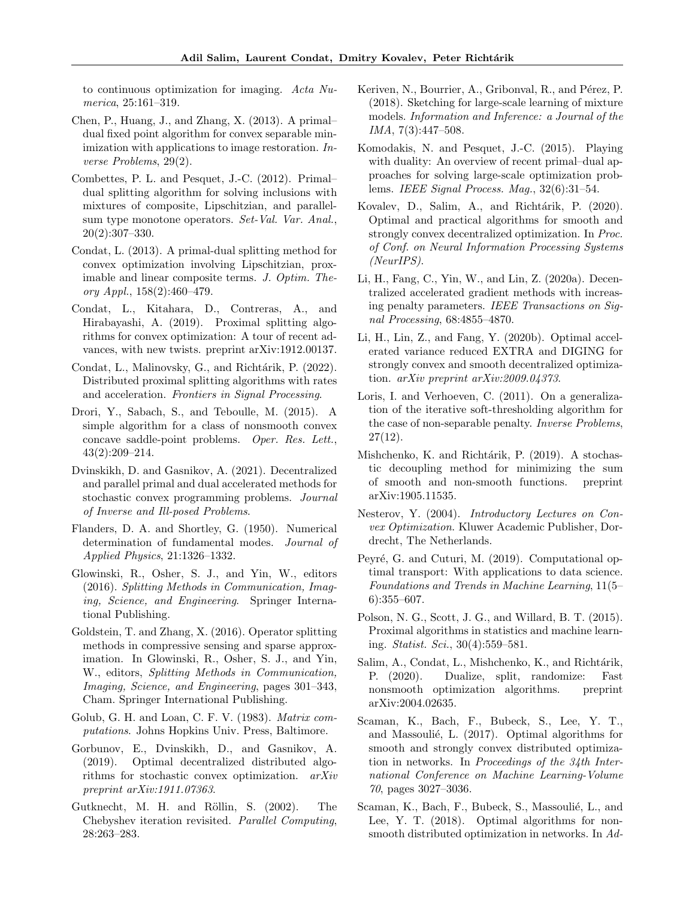to continuous optimization for imaging. Acta Numerica, 25:161–319.

- Chen, P., Huang, J., and Zhang, X. (2013). A primal– dual fixed point algorithm for convex separable minimization with applications to image restoration. Inverse Problems, 29(2).
- Combettes, P. L. and Pesquet, J.-C. (2012). Primal– dual splitting algorithm for solving inclusions with mixtures of composite, Lipschitzian, and parallelsum type monotone operators. Set-Val. Var. Anal., 20(2):307–330.
- Condat, L. (2013). A primal-dual splitting method for convex optimization involving Lipschitzian, proximable and linear composite terms. J. Optim. Theory Appl., 158(2):460–479.
- Condat, L., Kitahara, D., Contreras, A., and Hirabayashi, A. (2019). Proximal splitting algorithms for convex optimization: A tour of recent advances, with new twists. preprint arXiv:1912.00137.
- Condat, L., Malinovsky, G., and Richtárik, P. (2022). Distributed proximal splitting algorithms with rates and acceleration. Frontiers in Signal Processing.
- Drori, Y., Sabach, S., and Teboulle, M. (2015). A simple algorithm for a class of nonsmooth convex concave saddle-point problems. Oper. Res. Lett., 43(2):209–214.
- Dvinskikh, D. and Gasnikov, A. (2021). Decentralized and parallel primal and dual accelerated methods for stochastic convex programming problems. Journal of Inverse and Ill-posed Problems.
- Flanders, D. A. and Shortley, G. (1950). Numerical determination of fundamental modes. Journal of Applied Physics, 21:1326–1332.
- Glowinski, R., Osher, S. J., and Yin, W., editors (2016). Splitting Methods in Communication, Imaging, Science, and Engineering. Springer International Publishing.
- Goldstein, T. and Zhang, X. (2016). Operator splitting methods in compressive sensing and sparse approximation. In Glowinski, R., Osher, S. J., and Yin, W., editors, Splitting Methods in Communication, Imaging, Science, and Engineering, pages 301–343, Cham. Springer International Publishing.
- Golub, G. H. and Loan, C. F. V. (1983). Matrix computations. Johns Hopkins Univ. Press, Baltimore.
- Gorbunov, E., Dvinskikh, D., and Gasnikov, A. (2019). Optimal decentralized distributed algorithms for stochastic convex optimization. arXiv preprint arXiv:1911.07363.
- Gutknecht, M. H. and Röllin, S. (2002). The Chebyshev iteration revisited. Parallel Computing, 28:263–283.
- Keriven, N., Bourrier, A., Gribonval, R., and Pérez, P. (2018). Sketching for large-scale learning of mixture models. Information and Inference: a Journal of the IMA, 7(3):447–508.
- Komodakis, N. and Pesquet, J.-C. (2015). Playing with duality: An overview of recent primal–dual approaches for solving large-scale optimization problems. IEEE Signal Process. Mag., 32(6):31–54.
- Kovalev, D., Salim, A., and Richtárik, P. (2020). Optimal and practical algorithms for smooth and strongly convex decentralized optimization. In Proc. of Conf. on Neural Information Processing Systems (NeurIPS).
- Li, H., Fang, C., Yin, W., and Lin, Z. (2020a). Decentralized accelerated gradient methods with increasing penalty parameters. IEEE Transactions on Signal Processing, 68:4855–4870.
- Li, H., Lin, Z., and Fang, Y. (2020b). Optimal accelerated variance reduced EXTRA and DIGING for strongly convex and smooth decentralized optimization. arXiv preprint arXiv:2009.04373.
- Loris, I. and Verhoeven, C. (2011). On a generalization of the iterative soft-thresholding algorithm for the case of non-separable penalty. Inverse Problems, 27(12).
- Mishchenko, K. and Richtárik, P. (2019). A stochastic decoupling method for minimizing the sum of smooth and non-smooth functions. preprint arXiv:1905.11535.
- Nesterov, Y. (2004). Introductory Lectures on Convex Optimization. Kluwer Academic Publisher, Dordrecht, The Netherlands.
- Peyré, G. and Cuturi, M. (2019). Computational optimal transport: With applications to data science. Foundations and Trends in Machine Learning, 11(5– 6):355–607.
- Polson, N. G., Scott, J. G., and Willard, B. T. (2015). Proximal algorithms in statistics and machine learning. Statist. Sci., 30(4):559–581.
- Salim, A., Condat, L., Mishchenko, K., and Richtárik, P. (2020). Dualize, split, randomize: Fast nonsmooth optimization algorithms. preprint arXiv:2004.02635.
- Scaman, K., Bach, F., Bubeck, S., Lee, Y. T., and Massoulié, L. (2017). Optimal algorithms for smooth and strongly convex distributed optimization in networks. In Proceedings of the 34th International Conference on Machine Learning-Volume 70, pages 3027–3036.
- Scaman, K., Bach, F., Bubeck, S., Massoulié, L., and Lee, Y. T. (2018). Optimal algorithms for nonsmooth distributed optimization in networks. In Ad-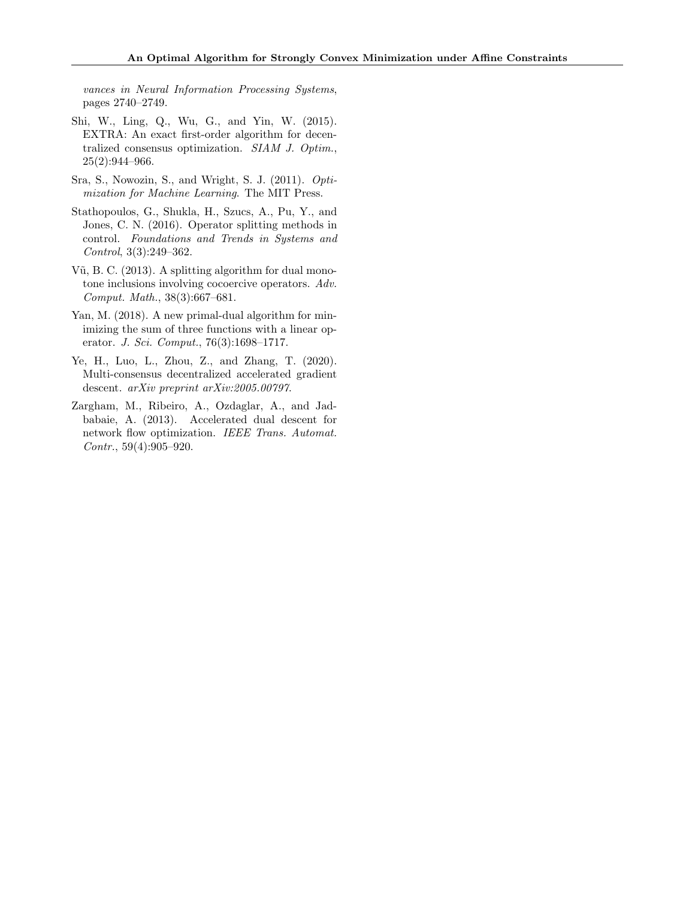vances in Neural Information Processing Systems, pages 2740–2749.

- Shi, W., Ling, Q., Wu, G., and Yin, W. (2015). EXTRA: An exact first-order algorithm for decentralized consensus optimization. SIAM J. Optim., 25(2):944–966.
- Sra, S., Nowozin, S., and Wright, S. J. (2011). Optimization for Machine Learning. The MIT Press.
- Stathopoulos, G., Shukla, H., Szucs, A., Pu, Y., and Jones, C. N. (2016). Operator splitting methods in control. Foundations and Trends in Systems and Control, 3(3):249–362.
- Vũ, B. C.  $(2013)$ . A splitting algorithm for dual monotone inclusions involving cocoercive operators. Adv. Comput. Math., 38(3):667–681.
- Yan, M. (2018). A new primal-dual algorithm for minimizing the sum of three functions with a linear operator. J. Sci. Comput., 76(3):1698–1717.
- Ye, H., Luo, L., Zhou, Z., and Zhang, T. (2020). Multi-consensus decentralized accelerated gradient descent. arXiv preprint arXiv:2005.00797.
- Zargham, M., Ribeiro, A., Ozdaglar, A., and Jadbabaie, A. (2013). Accelerated dual descent for network flow optimization. IEEE Trans. Automat. Contr., 59(4):905–920.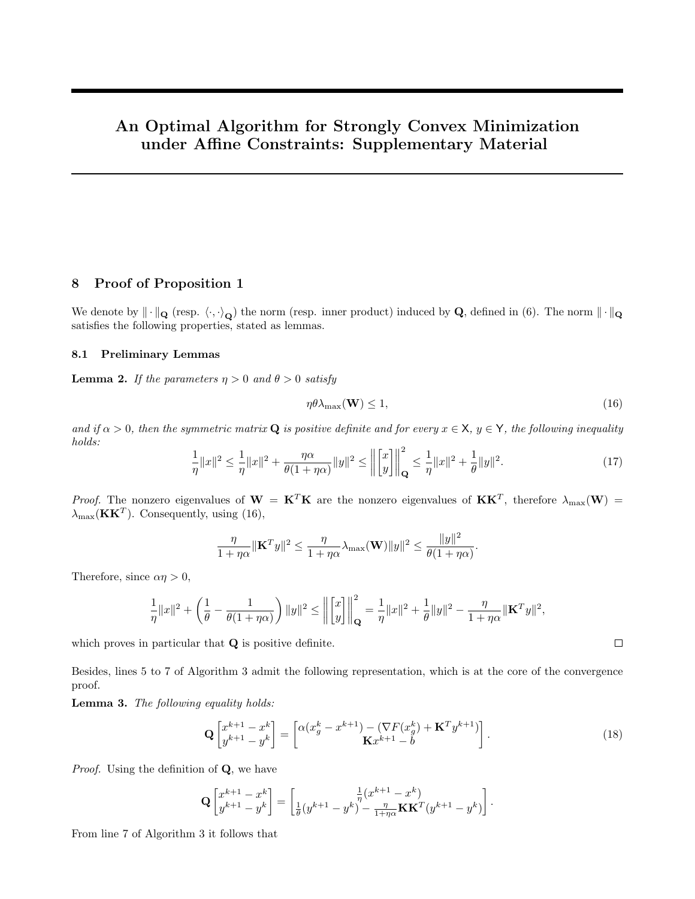# An Optimal Algorithm for Strongly Convex Minimization under Affine Constraints: Supplementary Material

# 8 Proof of Proposition 1

We denote by  $\|\cdot\|_{\mathbf{Q}}$  (resp.  $\langle \cdot, \cdot \rangle_{\mathbf{Q}}$ ) the norm (resp. inner product) induced by  $\mathbf{Q}$ , defined in (6). The norm  $\|\cdot\|_{\mathbf{Q}}$ satisfies the following properties, stated as lemmas.

# 8.1 Preliminary Lemmas

**Lemma 2.** If the parameters  $\eta > 0$  and  $\theta > 0$  satisfy

$$
\eta \theta \lambda_{\max}(\mathbf{W}) \le 1,\tag{16}
$$

.

 $\Box$ 

and if  $\alpha > 0$ , then the symmetric matrix Q is positive definite and for every  $x \in X$ ,  $y \in Y$ , the following inequality holds:

$$
\frac{1}{\eta}||x||^2 \le \frac{1}{\eta}||x||^2 + \frac{\eta\alpha}{\theta(1+\eta\alpha)}||y||^2 \le \left\| \begin{bmatrix} x \\ y \end{bmatrix} \right\|_{\mathbf{Q}}^2 \le \frac{1}{\eta}||x||^2 + \frac{1}{\theta}||y||^2. \tag{17}
$$

*Proof.* The nonzero eigenvalues of  $W = K^T K$  are the nonzero eigenvalues of  $KK^T$ , therefore  $\lambda_{\max}(W)$  =  $\lambda_{\text{max}}(\mathbf{K}\mathbf{K}^T)$ . Consequently, using (16),

$$
\frac{\eta}{1+\eta\alpha} \|\mathbf{K}^T y\|^2 \le \frac{\eta}{1+\eta\alpha} \lambda_{\max}(\mathbf{W}) \|y\|^2 \le \frac{\|y\|^2}{\theta(1+\eta\alpha)}
$$

Therefore, since  $\alpha \eta > 0$ ,

$$
\frac{1}{\eta}\|x\|^2+\left(\frac{1}{\theta}-\frac{1}{\theta(1+\eta\alpha)}\right)\|y\|^2\leq\left\|\begin{bmatrix}x\\y\end{bmatrix}\right\|_{\mathbf{Q}}^2=\frac{1}{\eta}\|x\|^2+\frac{1}{\theta}\|y\|^2-\frac{\eta}{1+\eta\alpha}\|{\mathbf K}^T y\|^2,
$$

which proves in particular that **Q** is positive definite.

Besides, lines 5 to 7 of Algorithm 3 admit the following representation, which is at the core of the convergence proof.

Lemma 3. The following equality holds:

$$
\mathbf{Q}\begin{bmatrix} x^{k+1} - x^k \ y^{k+1} - y^k \end{bmatrix} = \begin{bmatrix} \alpha(x_g^k - x^{k+1}) - (\nabla F(x_g^k) + \mathbf{K}^T y^{k+1}) \\ \mathbf{K} x^{k+1} - b \end{bmatrix}.
$$
\n(18)

Proof. Using the definition of **Q**, we have

$$
\mathbf{Q}\begin{bmatrix} x^{k+1}-x^k \\ y^{k+1}-y^k \end{bmatrix} = \begin{bmatrix} \frac{1}{\eta}(x^{k+1}-x^k) \\ \frac{1}{\theta}(y^{k+1}-y^k) - \frac{\eta}{1+\eta\alpha}\mathbf{K}\mathbf{K}^T(y^{k+1}-y^k) \end{bmatrix}.
$$

From line 7 of Algorithm 3 it follows that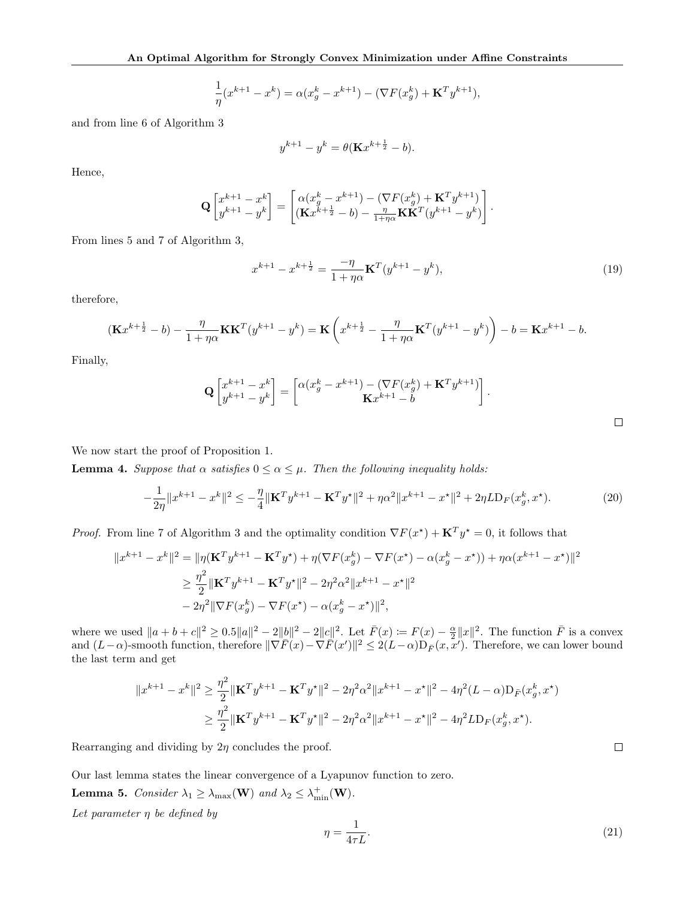$$
\frac{1}{\eta}(x^{k+1} - x^k) = \alpha(x_g^k - x^{k+1}) - (\nabla F(x_g^k) + \mathbf{K}^T y^{k+1}),
$$

and from line 6 of Algorithm 3

$$
y^{k+1} - y^k = \theta(\mathbf{K}x^{k+\frac{1}{2}} - b).
$$

Hence,

$$
\mathbf{Q}\begin{bmatrix} x^{k+1}-x^k \\ y^{k+1}-y^k \end{bmatrix} = \begin{bmatrix} \alpha(x_g^k-x^{k+1})-(\nabla F(x_g^k)+\mathbf{K}^T y^{k+1}) \\ (\mathbf{K} x^{k+\frac{1}{2}}-b)-\frac{\eta}{1+\eta\alpha}\mathbf{K}\mathbf{K}^T (y^{k+1}-y^k) \end{bmatrix}.
$$

From lines 5 and 7 of Algorithm 3,

$$
x^{k+1} - x^{k+\frac{1}{2}} = \frac{-\eta}{1+\eta\alpha} \mathbf{K}^T (y^{k+1} - y^k),\tag{19}
$$

therefore,

$$
(\mathbf{K}x^{k+\frac{1}{2}}-b) - \frac{\eta}{1+\eta\alpha}\mathbf{K}\mathbf{K}^T(y^{k+1}-y^k) = \mathbf{K}\left(x^{k+\frac{1}{2}} - \frac{\eta}{1+\eta\alpha}\mathbf{K}^T(y^{k+1}-y^k)\right) - b = \mathbf{K}x^{k+1} - b.
$$

Finally,

$$
\mathbf{Q}\begin{bmatrix} x^{k+1} - x^k \ y^{k+1} - y^k \end{bmatrix} = \begin{bmatrix} \alpha(x_g^k - x^{k+1}) - (\nabla F(x_g^k) + \mathbf{K}^T y^{k+1}) \\ \mathbf{K} x^{k+1} - b \end{bmatrix}.
$$

We now start the proof of Proposition 1.

**Lemma 4.** Suppose that  $\alpha$  satisfies  $0 \leq \alpha \leq \mu$ . Then the following inequality holds:

$$
-\frac{1}{2\eta} \|x^{k+1} - x^k\|^2 \le -\frac{\eta}{4} \|\mathbf{K}^T y^{k+1} - \mathbf{K}^T y^\star\|^2 + \eta \alpha^2 \|x^{k+1} - x^\star\|^2 + 2\eta L \mathcal{D}_F(x_g^k, x^\star). \tag{20}
$$

*Proof.* From line 7 of Algorithm 3 and the optimality condition  $\nabla F(x^*) + \mathbf{K}^T y^* = 0$ , it follows that

$$
||x^{k+1} - x^k||^2 = ||\eta(\mathbf{K}^T y^{k+1} - \mathbf{K}^T y^*) + \eta(\nabla F(x_g^k) - \nabla F(x^*) - \alpha(x_g^k - x^*)) + \eta \alpha(x^{k+1} - x^*)||^2
$$
  
\n
$$
\geq \frac{\eta^2}{2} ||\mathbf{K}^T y^{k+1} - \mathbf{K}^T y^*||^2 - 2\eta^2 \alpha^2 ||x^{k+1} - x^*||^2
$$
  
\n
$$
- 2\eta^2 ||\nabla F(x_g^k) - \nabla F(x^*) - \alpha(x_g^k - x^*)||^2,
$$

where we used  $||a+b+c||^2 \ge 0.5||a||^2 - 2||b||^2 - 2||c||^2$ . Let  $\bar{F}(x) := F(x) - \frac{\alpha}{2}||x||^2$ . The function  $\bar{F}$  is a convex and  $(L-\alpha)$ -smooth function, therefore  $\|\nabla \overline{F}(x) - \nabla \overline{F}(x')\|^2 \leq 2(L-\alpha)D_{\overline{F}}(x, x')$ . Therefore, we can lower bound the last term and get

$$
||x^{k+1} - x^k||^2 \ge \frac{\eta^2}{2} ||\mathbf{K}^T y^{k+1} - \mathbf{K}^T y^{\star}||^2 - 2\eta^2 \alpha^2 ||x^{k+1} - x^{\star}||^2 - 4\eta^2 (L - \alpha) \mathcal{D}_F(x_g^k, x^{\star})
$$
  

$$
\ge \frac{\eta^2}{2} ||\mathbf{K}^T y^{k+1} - \mathbf{K}^T y^{\star}||^2 - 2\eta^2 \alpha^2 ||x^{k+1} - x^{\star}||^2 - 4\eta^2 L \mathcal{D}_F(x_g^k, x^{\star}).
$$

Rearranging and dividing by  $2\eta$  concludes the proof.

Our last lemma states the linear convergence of a Lyapunov function to zero.

**Lemma 5.** Consider  $\lambda_1 \geq \lambda_{\max}(\mathbf{W})$  and  $\lambda_2 \leq \lambda_{\min}^+(\mathbf{W})$ .

Let parameter  $\eta$  be defined by

$$
\eta = \frac{1}{4\tau L}.\tag{21}
$$

 $\hfill \square$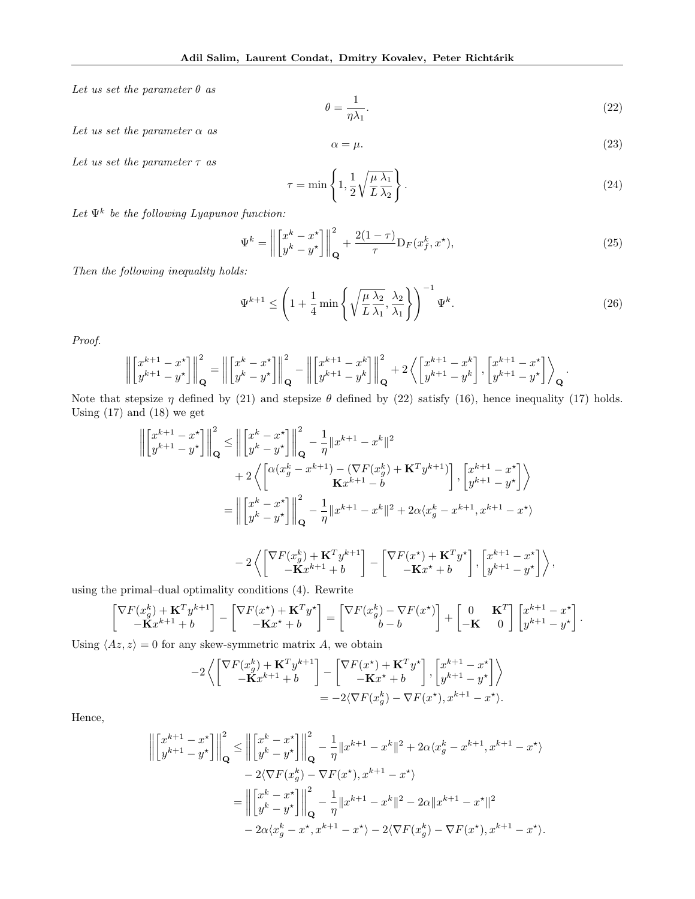Let us set the parameter  $\theta$  as

$$
\theta = \frac{1}{\eta \lambda_1}.\tag{22}
$$

Let us set the parameter  $\alpha$  as

$$
\alpha = \mu. \tag{23}
$$

.

Let us set the parameter  $\tau$  as

$$
\tau = \min\left\{1, \frac{1}{2} \sqrt{\frac{\mu \lambda_1}{L \lambda_2}}\right\}.
$$
\n(24)

Let  $\Psi^k$  be the following Lyapunov function:

$$
\Psi^k = \left\| \begin{bmatrix} x^k - x^* \\ y^k - y^* \end{bmatrix} \right\|_{\mathbf{Q}}^2 + \frac{2(1-\tau)}{\tau} \mathcal{D}_F(x_f^k, x^*),\tag{25}
$$

Then the following inequality holds:

$$
\Psi^{k+1} \le \left(1 + \frac{1}{4} \min\left\{\sqrt{\frac{\mu \lambda_2}{L \lambda_1}}, \frac{\lambda_2}{\lambda_1}\right\}\right)^{-1} \Psi^k. \tag{26}
$$

Proof.

$$
\left\| \begin{bmatrix} x^{k+1} - x^* \\ y^{k+1} - y^* \end{bmatrix} \right\|_{\mathbf{Q}}^2 = \left\| \begin{bmatrix} x^k - x^* \\ y^k - y^* \end{bmatrix} \right\|_{\mathbf{Q}}^2 - \left\| \begin{bmatrix} x^{k+1} - x^k \\ y^{k+1} - y^k \end{bmatrix} \right\|_{\mathbf{Q}}^2 + 2 \left\langle \begin{bmatrix} x^{k+1} - x^k \\ y^{k+1} - y^k \end{bmatrix}, \begin{bmatrix} x^{k+1} - x^* \\ y^{k+1} - y^* \end{bmatrix} \right\rangle_{\mathbf{Q}}
$$

Note that stepsize  $\eta$  defined by (21) and stepsize  $\theta$  defined by (22) satisfy (16), hence inequality (17) holds. Using  $(17)$  and  $(18)$  we get

$$
\left\| \begin{bmatrix} x^{k+1} - x^{\star} \\ y^{k+1} - y^{\star} \end{bmatrix} \right\|_{\mathbf{Q}}^{2} \le \left\| \begin{bmatrix} x^{k} - x^{\star} \\ y^{k} - y^{\star} \end{bmatrix} \right\|_{\mathbf{Q}}^{2} - \frac{1}{\eta} \|x^{k+1} - x^{k}\|^{2}
$$
  
+2  $\left\langle \begin{bmatrix} \alpha(x^{k}_{g} - x^{k+1}) - (\nabla F(x^{k}_{g}) + \mathbf{K}^{T} y^{k+1}) \\ \mathbf{K} x^{k+1} - b \end{bmatrix}, \begin{bmatrix} x^{k+1} - x^{\star} \\ y^{k+1} - y^{\star} \end{bmatrix} \right\rangle$   
=  $\left\| \begin{bmatrix} x^{k} - x^{\star} \\ y^{k} - y^{\star} \end{bmatrix} \right\|_{\mathbf{Q}}^{2} - \frac{1}{\eta} \|x^{k+1} - x^{k}\|^{2} + 2\alpha \langle x^{k}_{g} - x^{k+1}, x^{k+1} - x^{\star} \rangle$ 

$$
-2\left\langle \begin{bmatrix} \nabla F(x_g^k) + \mathbf{K}^T y^{k+1} \\ -\mathbf{K} x^{k+1} + b \end{bmatrix} - \begin{bmatrix} \nabla F(x^\star) + \mathbf{K}^T y^\star \\ -\mathbf{K} x^\star + b \end{bmatrix}, \begin{bmatrix} x^{k+1} - x^\star \\ y^{k+1} - y^\star \end{bmatrix} \right\rangle,
$$

using the primal–dual optimality conditions (4). Rewrite

$$
\begin{bmatrix} \nabla F(x_g^k) + \mathbf{K}^T y^{k+1} \\ -\mathbf{K} x^{k+1} + b \end{bmatrix} - \begin{bmatrix} \nabla F(x^\star) + \mathbf{K}^T y^\star \\ -\mathbf{K} x^\star + b \end{bmatrix} = \begin{bmatrix} \nabla F(x_g^k) - \nabla F(x^\star) \\ b - b \end{bmatrix} + \begin{bmatrix} 0 & \mathbf{K}^T \\ -\mathbf{K} & 0 \end{bmatrix} \begin{bmatrix} x^{k+1} - x^\star \\ y^{k+1} - y^\star \end{bmatrix}.
$$

Using  $\langle Az, z \rangle = 0$  for any skew-symmetric matrix A, we obtain

$$
-2\left\langle \begin{bmatrix} \nabla F(x_g^k) + \mathbf{K}^T y^{k+1} \\ -\mathbf{K} x^{k+1} + b \end{bmatrix} - \begin{bmatrix} \nabla F(x^\star) + \mathbf{K}^T y^\star \\ -\mathbf{K} x^\star + b \end{bmatrix}, \begin{bmatrix} x^{k+1} - x^\star \\ y^{k+1} - y^\star \end{bmatrix} \right\rangle
$$
  
= -2\langle \nabla F(x\_g^k) - \nabla F(x^\star), x^{k+1} - x^\star \rangle.

Hence,

$$
\left\| \begin{bmatrix} x^{k+1} - x^{\star} \\ y^{k+1} - y^{\star} \end{bmatrix} \right\|_{\mathbf{Q}}^{2} \le \left\| \begin{bmatrix} x^{k} - x^{\star} \\ y^{k} - y^{\star} \end{bmatrix} \right\|_{\mathbf{Q}}^{2} - \frac{1}{\eta} \|x^{k+1} - x^{k}\|^{2} + 2\alpha \langle x_{g}^{k} - x^{k+1}, x^{k+1} - x^{\star} \rangle
$$
  
\n
$$
- 2 \langle \nabla F(x_{g}^{k}) - \nabla F(x^{\star}), x^{k+1} - x^{\star} \rangle
$$
  
\n
$$
= \left\| \begin{bmatrix} x^{k} - x^{\star} \\ y^{k} - y^{\star} \end{bmatrix} \right\|_{\mathbf{Q}}^{2} - \frac{1}{\eta} \|x^{k+1} - x^{k}\|^{2} - 2\alpha \|x^{k+1} - x^{\star}\|^{2}
$$
  
\n
$$
- 2\alpha \langle x_{g}^{k} - x^{\star}, x^{k+1} - x^{\star} \rangle - 2 \langle \nabla F(x_{g}^{k}) - \nabla F(x^{\star}), x^{k+1} - x^{\star} \rangle.
$$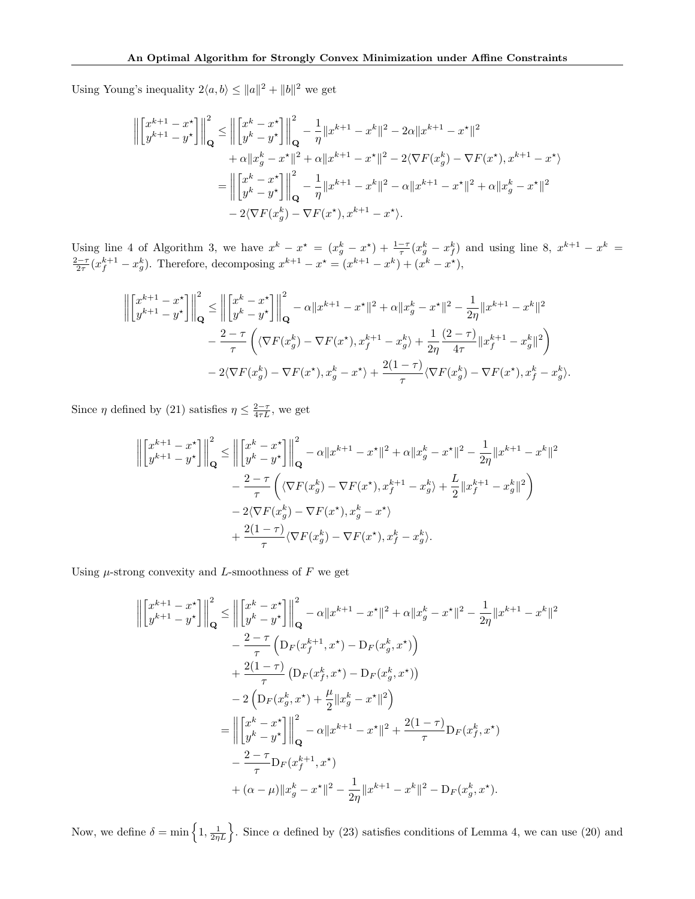Using Young's inequality  $2\langle a,b\rangle \leq ||a||^2 + ||b||^2$  we get

$$
\left\| \begin{bmatrix} x^{k+1} - x^{\star} \\ y^{k+1} - y^{\star} \end{bmatrix} \right\|_{\mathbf{Q}}^{2} \le \left\| \begin{bmatrix} x^{k} - x^{\star} \\ y^{k} - y^{\star} \end{bmatrix} \right\|_{\mathbf{Q}}^{2} - \frac{1}{\eta} \|x^{k+1} - x^{k}\|^{2} - 2\alpha \|x^{k+1} - x^{\star}\|^{2} + \alpha \|x_{g}^{k} - x^{\star}\|^{2} + \alpha \|x^{k+1} - x^{\star}\|^{2} - 2\langle \nabla F(x_{g}^{k}) - \nabla F(x^{\star}), x^{k+1} - x^{\star} \rangle = \left\| \begin{bmatrix} x^{k} - x^{\star} \\ y^{k} - y^{\star} \end{bmatrix} \right\|_{\mathbf{Q}}^{2} - \frac{1}{\eta} \|x^{k+1} - x^{k}\|^{2} - \alpha \|x^{k+1} - x^{\star}\|^{2} + \alpha \|x_{g}^{k} - x^{\star}\|^{2} - 2\langle \nabla F(x_{g}^{k}) - \nabla F(x^{\star}), x^{k+1} - x^{\star} \rangle.
$$

Using line 4 of Algorithm 3, we have  $x^k - x^* = (x_g^k - x^*) + \frac{1-\tau}{\tau}(x_g^k - x_g^k)$  and using line 8,  $x^{k+1} - x^k =$  $\frac{2-\tau}{2\tau}(x_f^{k+1} - x_g^k)$ . Therefore, decomposing  $x^{k+1} - x^* = (x^{k+1} - x^k) + (x^k - x^*)$ ,

$$
\left\| \begin{bmatrix} x^{k+1} - x^{\star} \\ y^{k+1} - y^{\star} \end{bmatrix} \right\|_{\mathbf{Q}}^{2} \le \left\| \begin{bmatrix} x^{k} - x^{\star} \\ y^{k} - y^{\star} \end{bmatrix} \right\|_{\mathbf{Q}}^{2} - \alpha \|x^{k+1} - x^{\star}\|^{2} + \alpha \|x_{g}^{k} - x^{\star}\|^{2} - \frac{1}{2\eta} \|x^{k+1} - x^{k}\|^{2}
$$

$$
- \frac{2 - \tau}{\tau} \left( \langle \nabla F(x_{g}^{k}) - \nabla F(x^{\star}), x_{f}^{k+1} - x_{g}^{k} \rangle + \frac{1}{2\eta} \frac{(2 - \tau)}{4\tau} \|x_{f}^{k+1} - x_{g}^{k}\|^{2} \right)
$$

$$
- 2 \langle \nabla F(x_{g}^{k}) - \nabla F(x^{\star}), x_{g}^{k} - x^{\star} \rangle + \frac{2(1 - \tau)}{\tau} \langle \nabla F(x_{g}^{k}) - \nabla F(x^{\star}), x_{f}^{k} - x_{g}^{k} \rangle.
$$

Since  $\eta$  defined by (21) satisfies  $\eta \leq \frac{2-\tau}{4\tau L}$ , we get

$$
\left\| \begin{bmatrix} x^{k+1} - x^{\star} \\ y^{k+1} - y^{\star} \end{bmatrix} \right\|_{\mathbf{Q}}^{2} \le \left\| \begin{bmatrix} x^{k} - x^{\star} \\ y^{k} - y^{\star} \end{bmatrix} \right\|_{\mathbf{Q}}^{2} - \alpha \|x^{k+1} - x^{\star}\|^{2} + \alpha \|x_{g}^{k} - x^{\star}\|^{2} - \frac{1}{2\eta} \|x^{k+1} - x^{k}\|^{2} - \frac{2 - \tau}{\tau} \left( \langle \nabla F(x_{g}^{k}) - \nabla F(x^{\star}), x_{f}^{k+1} - x_{g}^{k} \rangle + \frac{L}{2} \|x_{f}^{k+1} - x_{g}^{k}\|^{2} \right) - 2\langle \nabla F(x_{g}^{k}) - \nabla F(x^{\star}), x_{g}^{k} - x^{\star} \rangle + \frac{2(1 - \tau)}{\tau} \langle \nabla F(x_{g}^{k}) - \nabla F(x^{\star}), x_{f}^{k} - x_{g}^{k} \rangle.
$$

Using  $\mu$ -strong convexity and L-smoothness of F we get

$$
\left\| \begin{bmatrix} x^{k+1} - x^{\star} \\ y^{k+1} - y^{\star} \end{bmatrix} \right\|_{\mathbf{Q}}^{2} \leq \left\| \begin{bmatrix} x^{k} - x^{\star} \\ y^{k} - y^{\star} \end{bmatrix} \right\|_{\mathbf{Q}}^{2} - \alpha \|x^{k+1} - x^{\star}\|^{2} + \alpha \|x_{g}^{k} - x^{\star}\|^{2} - \frac{1}{2\eta} \|x^{k+1} - x^{k}\|^{2}
$$
  
\n
$$
- \frac{2 - \tau}{\tau} \left( \mathbf{D}_{F}(x_{f}^{k+1}, x^{*}) - \mathbf{D}_{F}(x_{g}^{k}, x^{*}) \right)
$$
  
\n
$$
+ \frac{2(1 - \tau)}{\tau} \left( \mathbf{D}_{F}(x_{f}^{k}, x^{*}) - \mathbf{D}_{F}(x_{g}^{k}, x^{*}) \right)
$$
  
\n
$$
- 2 \left( \mathbf{D}_{F}(x_{g}^{k}, x^{*}) + \frac{\mu}{2} \|x_{g}^{k} - x^{*}\|^{2} \right)
$$
  
\n
$$
= \left\| \begin{bmatrix} x^{k} - x^{*} \\ y^{k} - y^{*} \end{bmatrix} \right\|_{\mathbf{Q}}^{2} - \alpha \|x^{k+1} - x^{*}\|^{2} + \frac{2(1 - \tau)}{\tau} \mathbf{D}_{F}(x_{f}^{k}, x^{*})
$$
  
\n
$$
- \frac{2 - \tau}{\tau} \mathbf{D}_{F}(x_{f}^{k+1}, x^{*})
$$
  
\n
$$
+ (\alpha - \mu) \|x_{g}^{k} - x^{*}\|^{2} - \frac{1}{2\eta} \|x^{k+1} - x^{k}\|^{2} - \mathbf{D}_{F}(x_{g}^{k}, x^{*}).
$$

Now, we define  $\delta = \min\left\{1, \frac{1}{2\eta L}\right\}$ . Since  $\alpha$  defined by (23) satisfies conditions of Lemma 4, we can use (20) and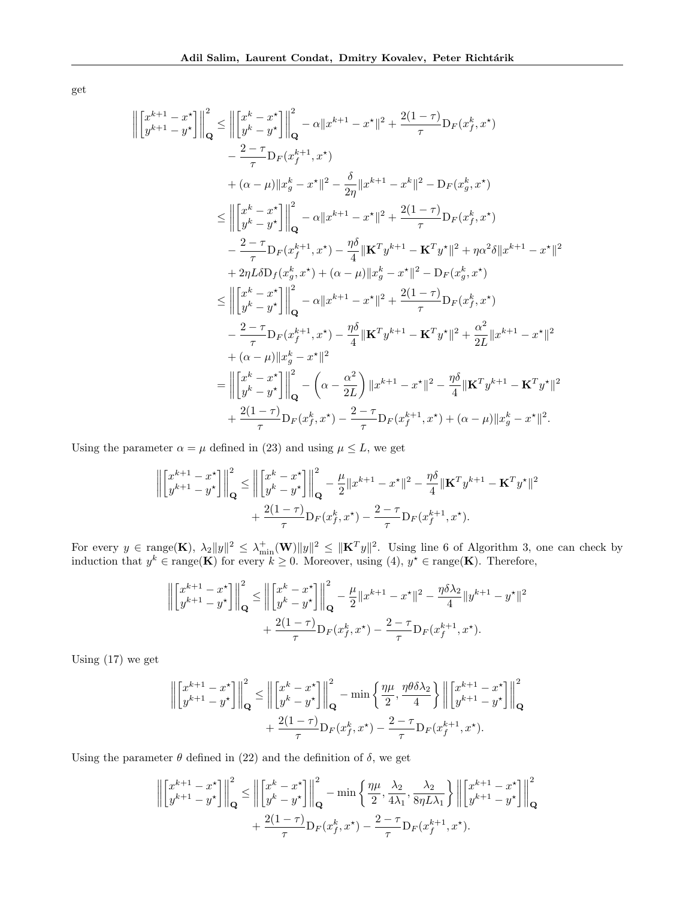get

$$
\left\| \begin{bmatrix} x^{k+1} - x^{*} \\ y^{k+1} - y^{*} \end{bmatrix} \right\|_{\mathbf{Q}}^{2} \leq \left\| \begin{bmatrix} x^{k} - x^{*} \\ y^{k} - y^{*} \end{bmatrix} \right\|_{\mathbf{Q}}^{2} - \alpha \|x^{k+1} - x^{*}\|^{2} + \frac{2(1-\tau)}{\tau} \mathbf{D}_{F}(x_{f}^{k}, x^{*})
$$
  
\n
$$
- \frac{2-\tau}{\tau} \mathbf{D}_{F}(x_{f}^{k+1}, x^{*})
$$
  
\n
$$
+ (\alpha - \mu) \|x_{g}^{k} - x^{*}\|^{2} - \frac{\delta}{2\eta} \|x^{k+1} - x^{k}\|^{2} - \mathbf{D}_{F}(x_{g}^{k}, x^{*})
$$
  
\n
$$
\leq \left\| \begin{bmatrix} x^{k} - x^{*} \\ y^{k} - y^{*} \end{bmatrix} \right\|_{\mathbf{Q}}^{2} - \alpha \|x^{k+1} - x^{*}\|^{2} + \frac{2(1-\tau)}{\tau} \mathbf{D}_{F}(x_{f}^{k}, x^{*})
$$
  
\n
$$
- \frac{2-\tau}{\tau} \mathbf{D}_{F}(x_{f}^{k+1}, x^{*}) - \frac{\eta \delta}{4} \|\mathbf{K}^{T} y^{k+1} - \mathbf{K}^{T} y^{*}\|^{2} + \eta \alpha^{2} \delta \|x^{k+1} - x^{*}\|^{2}
$$
  
\n
$$
+ 2\eta L \delta \mathbf{D}_{f}(x_{g}^{k}, x^{*}) + (\alpha - \mu) \|x_{g}^{k} - x^{*}\|^{2} - \mathbf{D}_{F}(x_{g}^{k}, x^{*})
$$
  
\n
$$
\leq \left\| \begin{bmatrix} x^{k} - x^{*} \\ y^{k} - y^{*} \end{bmatrix} \right\|_{\mathbf{Q}}^{2} - \alpha \|x^{k+1} - x^{*}\|^{2} + \frac{2(1-\tau)}{\tau} \mathbf{D}_{F}(x_{g}^{k}, x^{*})
$$
  
\n
$$
- \frac{2-\tau}{\tau} \mathbf{D}_{F}(x_{f}^{k+1}, x^{*}) - \frac{\eta \delta}{4}
$$

Using the parameter  $\alpha = \mu$  defined in (23) and using  $\mu \leq L$ , we get

$$
\left\| \begin{bmatrix} x^{k+1} - x^{\star} \\ y^{k+1} - y^{\star} \end{bmatrix} \right\|_{\mathbf{Q}}^2 \le \left\| \begin{bmatrix} x^k - x^{\star} \\ y^k - y^{\star} \end{bmatrix} \right\|_{\mathbf{Q}}^2 - \frac{\mu}{2} \| x^{k+1} - x^{\star} \|^2 - \frac{\eta \delta}{4} \| \mathbf{K}^T y^{k+1} - \mathbf{K}^T y^{\star} \|^2 + \frac{2(1-\tau)}{\tau} D_F(x_f^k, x^{\star}) - \frac{2-\tau}{\tau} D_F(x_f^{k+1}, x^{\star}).
$$

For every  $y \in \text{range}(\mathbf{K})$ ,  $\lambda_2 \|y\|^2 \leq \lambda_{\text{min}}^+(\mathbf{W}) \|y\|^2 \leq \|\mathbf{K}^T y\|^2$ . Using line 6 of Algorithm 3, one can check by induction that  $y^k \in \text{range}(\mathbf{K})$  for every  $k \geq 0$ . Moreover, using (4),  $y^* \in \text{range}(\mathbf{K})$ . Therefore,

$$
\left\| \begin{bmatrix} x^{k+1} - x^{\star} \\ y^{k+1} - y^{\star} \end{bmatrix} \right\|_{\mathbf{Q}}^2 \le \left\| \begin{bmatrix} x^k - x^{\star} \\ y^k - y^{\star} \end{bmatrix} \right\|_{\mathbf{Q}}^2 - \frac{\mu}{2} \|x^{k+1} - x^{\star}\|^2 - \frac{\eta \delta \lambda_2}{4} \|y^{k+1} - y^{\star}\|^2
$$

$$
+ \frac{2(1-\tau)}{\tau} \mathcal{D}_F(x_f^k, x^{\star}) - \frac{2-\tau}{\tau} \mathcal{D}_F(x_f^{k+1}, x^{\star}).
$$

Using (17) we get

$$
\left\| \begin{bmatrix} x^{k+1} - x^* \\ y^{k+1} - y^* \end{bmatrix} \right\|_{\mathbf{Q}}^2 \le \left\| \begin{bmatrix} x^k - x^* \\ y^k - y^* \end{bmatrix} \right\|_{\mathbf{Q}}^2 - \min\left\{ \frac{\eta\mu}{2}, \frac{\eta\theta\delta\lambda_2}{4} \right\} \left\| \begin{bmatrix} x^{k+1} - x^* \\ y^{k+1} - y^* \end{bmatrix} \right\|_{\mathbf{Q}}^2 + \frac{2(1-\tau)}{\tau} \mathbf{D}_F(x_f^k, x^*) - \frac{2-\tau}{\tau} \mathbf{D}_F(x_f^{k+1}, x^*).
$$

Using the parameter  $\theta$  defined in (22) and the definition of  $\delta$ , we get

$$
\left\| \begin{bmatrix} x^{k+1} - x^{\star} \\ y^{k+1} - y^{\star} \end{bmatrix} \right\|_{\mathbf{Q}}^2 \le \left\| \begin{bmatrix} x^k - x^{\star} \\ y^k - y^{\star} \end{bmatrix} \right\|_{\mathbf{Q}}^2 - \min\left\{ \frac{\eta\mu}{2}, \frac{\lambda_2}{4\lambda_1}, \frac{\lambda_2}{8\eta L \lambda_1} \right\} \left\| \begin{bmatrix} x^{k+1} - x^{\star} \\ y^{k+1} - y^{\star} \end{bmatrix} \right\|_{\mathbf{Q}}^2 + \frac{2(1-\tau)}{\tau} \mathbf{D}_F(x_f^k, x^{\star}) - \frac{2-\tau}{\tau} \mathbf{D}_F(x_f^{k+1}, x^{\star}).
$$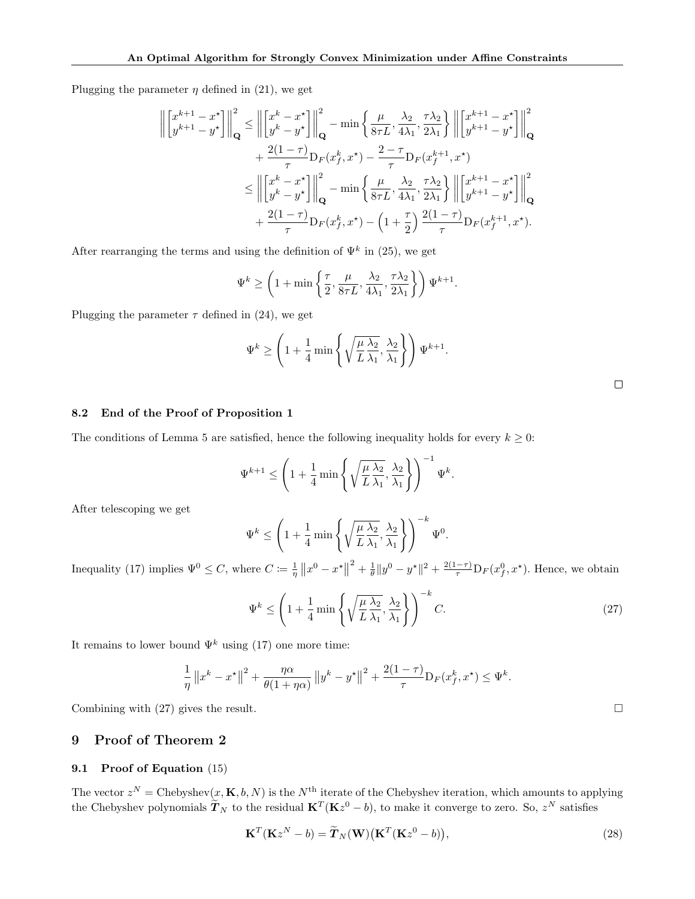Plugging the parameter  $\eta$  defined in (21), we get

$$
\left\| \begin{bmatrix} x^{k+1} - x^{\star} \\ y^{k+1} - y^{\star} \end{bmatrix} \right\|_{\mathbf{Q}}^{2} \le \left\| \begin{bmatrix} x^{k} - x^{\star} \\ y^{k} - y^{\star} \end{bmatrix} \right\|_{\mathbf{Q}}^{2} - \min \left\{ \frac{\mu}{8\tau L}, \frac{\lambda_{2}}{4\lambda_{1}}, \frac{\tau \lambda_{2}}{2\lambda_{1}} \right\} \left\| \begin{bmatrix} x^{k+1} - x^{\star} \\ y^{k+1} - y^{\star} \end{bmatrix} \right\|_{\mathbf{Q}}^{2} + \frac{2(1-\tau)}{\tau} \mathbf{D}_{F}(x_{f}^{k}, x^{\star}) - \frac{2-\tau}{\tau} \mathbf{D}_{F}(x_{f}^{k+1}, x^{\star}) \le \left\| \begin{bmatrix} x^{k} - x^{\star} \\ y^{k} - y^{\star} \end{bmatrix} \right\|_{\mathbf{Q}}^{2} - \min \left\{ \frac{\mu}{8\tau L}, \frac{\lambda_{2}}{4\lambda_{1}}, \frac{\tau \lambda_{2}}{2\lambda_{1}} \right\} \left\| \begin{bmatrix} x^{k+1} - x^{\star} \\ y^{k+1} - y^{\star} \end{bmatrix} \right\|_{\mathbf{Q}}^{2} + \frac{2(1-\tau)}{\tau} \mathbf{D}_{F}(x_{f}^{k}, x^{\star}) - \left( 1 + \frac{\tau}{2} \right) \frac{2(1-\tau)}{\tau} \mathbf{D}_{F}(x_{f}^{k+1}, x^{\star}).
$$

After rearranging the terms and using the definition of  $\Psi^k$  in (25), we get

$$
\Psi^k \ge \left(1 + \min\left\{\frac{\tau}{2}, \frac{\mu}{8\tau L}, \frac{\lambda_2}{4\lambda_1}, \frac{\tau \lambda_2}{2\lambda_1}\right\}\right) \Psi^{k+1}.
$$

Plugging the parameter  $\tau$  defined in (24), we get

$$
\Psi^k \ge \left(1 + \frac{1}{4} \min\left\{\sqrt{\frac{\mu}{L} \frac{\lambda_2}{\lambda_1}}, \frac{\lambda_2}{\lambda_1}\right\}\right) \Psi^{k+1}.
$$

### 8.2 End of the Proof of Proposition 1

The conditions of Lemma 5 are satisfied, hence the following inequality holds for every  $k \geq 0$ :

$$
\Psi^{k+1} \le \left(1 + \frac{1}{4} \min \left\{ \sqrt{\frac{\mu}{L} \frac{\lambda_2}{\lambda_1}}, \frac{\lambda_2}{\lambda_1} \right\} \right)^{-1} \Psi^k.
$$

After telescoping we get

$$
\Psi^k \le \left(1 + \frac{1}{4} \min\left\{\sqrt{\frac{\mu \lambda_2}{L} \frac{\lambda_2}{\lambda_1}}, \frac{\lambda_2}{\lambda_1}\right\}\right)^{-k} \Psi^0.
$$

Inequality (17) implies  $\Psi^0 \leq C$ , where  $C \coloneqq \frac{1}{\eta} ||x^0 - x^*||$  $2^2 + \frac{1}{\theta} \|y^0 - y^*\|^2 + \frac{2(1-\tau)}{\tau} D_F(x_f^0, x^*)$ . Hence, we obtain

$$
\Psi^k \le \left(1 + \frac{1}{4} \min \left\{ \sqrt{\frac{\mu \lambda_2}{L} \frac{\lambda_2}{\lambda_1}}, \frac{\lambda_2}{\lambda_1} \right\} \right)^{-k} C. \tag{27}
$$

It remains to lower bound  $\Psi^k$  using (17) one more time:

$$
\frac{1}{\eta} ||x^k - x^{\star}||^2 + \frac{\eta \alpha}{\theta(1 + \eta \alpha)} ||y^k - y^{\star}||^2 + \frac{2(1 - \tau)}{\tau} D_F(x_f^k, x^{\star}) \leq \Psi^k.
$$

Combining with (27) gives the result.  $\Box$ 

# 9 Proof of Theorem 2

## 9.1 Proof of Equation (15)

The vector  $z^N =$  Chebyshev $(x, K, b, N)$  is the  $N^{\text{th}}$  iterate of the Chebyshev iteration, which amounts to applying the Chebyshev polynomials  $\tilde{T}_N$  to the residual  $\mathbf{K}^T(\mathbf{K}z^0 - b)$ , to make it converge to zero. So,  $z^N$  satisfies

$$
\mathbf{K}^{T}(\mathbf{K}z^{N}-b)=\widetilde{\boldsymbol{T}}_{N}(\mathbf{W})\big(\mathbf{K}^{T}(\mathbf{K}z^{0}-b)\big),
$$
\n(28)